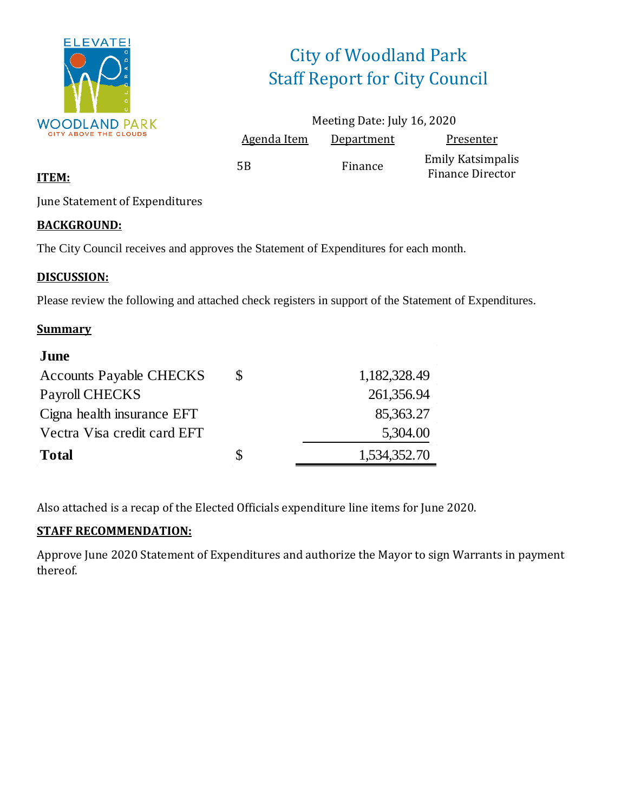

# City of Woodland Park Staff Report for City Council

|                    | Meeting Date: July 16, 2020 |                                                     |
|--------------------|-----------------------------|-----------------------------------------------------|
| <b>Agenda Item</b> | Department                  | Presenter                                           |
| .5B                | Finance                     | <b>Emily Katsimpalis</b><br><b>Finance Director</b> |

#### **ITEM:**

June Statement of Expenditures

#### **BACKGROUND:**

The City Council receives and approves the Statement of Expenditures for each month.

#### **DISCUSSION:**

Please review the following and attached check registers in support of the Statement of Expenditures.

#### **Summary**

| S | 1,182,328.49 |
|---|--------------|
|   | 261,356.94   |
|   | 85,363.27    |
|   | 5,304.00     |
| S | 1,534,352.70 |
|   |              |

Also attached is a recap of the Elected Officials expenditure line items for June 2020.

#### **STAFF RECOMMENDATION:**

Approve June 2020 Statement of Expenditures and authorize the Mayor to sign Warrants in payment thereof.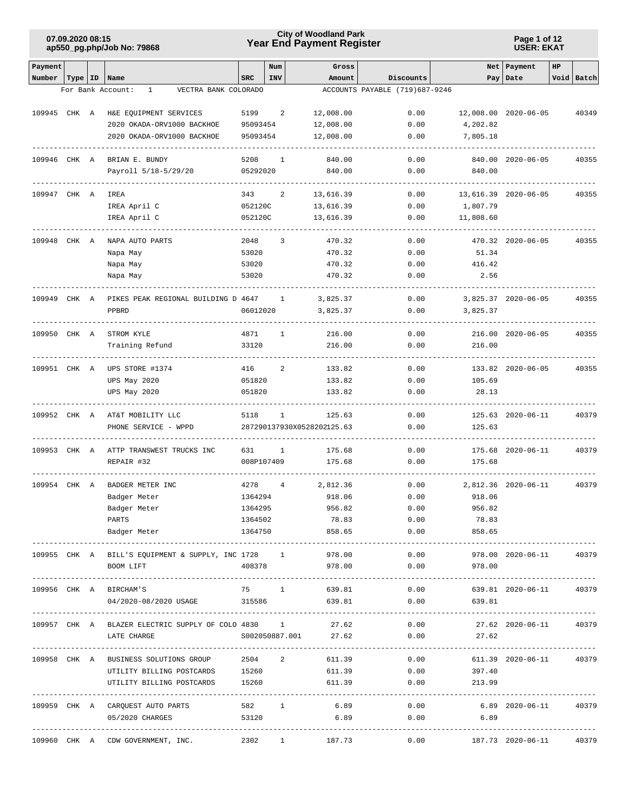# **Year End Payment Register City of Woodland Park 07.09.2020 08:15**

#### **Page 1 of 12 USER: EKAT**

| Payment      |       |                                                           |                      | Num          | Gross                      |                                   | Net                                 | Payment                 | HP |            |
|--------------|-------|-----------------------------------------------------------|----------------------|--------------|----------------------------|-----------------------------------|-------------------------------------|-------------------------|----|------------|
| Number       |       | Type   ID   Name                                          | <b>SRC</b>           | <b>INV</b>   | Amount                     | Discounts                         |                                     | Pay   Date              |    | Void Batch |
|              |       | VECTRA BANK COLORADO<br>For Bank Account:<br>$\mathbf{1}$ |                      |              |                            | ACCOUNTS PAYABLE (719)687-9246    |                                     |                         |    |            |
|              |       |                                                           |                      |              |                            |                                   |                                     |                         |    |            |
| 109945 CHK A |       | H&E EQUIPMENT SERVICES                                    | 5199                 | 2            | 12,008.00                  | 0.00                              |                                     | 12,008.00 2020-06-05    |    | 40349      |
|              |       | 2020 OKADA-ORV1000 BACKHOE<br>2020 OKADA-ORV1000 BACKHOE  | 95093454<br>95093454 |              | 12,008.00<br>12,008.00     | 0.00<br>0.00                      | 4,202.82<br>7,805.18                |                         |    |            |
|              |       |                                                           |                      |              |                            |                                   |                                     |                         |    |            |
| 109946 CHK A |       | BRIAN E. BUNDY                                            | 5208                 | 1            | 840.00                     | 0.00                              |                                     | 840.00 2020-06-05       |    | 40355      |
|              |       | Payroll 5/18-5/29/20                                      | 05292020             |              | 840.00                     | 0.00                              | 840.00                              |                         |    |            |
|              |       |                                                           |                      |              |                            |                                   |                                     |                         |    |            |
| 109947 CHK A |       | IREA                                                      | 343                  | 2            | 13,616.39                  | 0.00                              |                                     | 13,616.39 2020-06-05    |    | 40355      |
|              |       | IREA April C                                              | 052120C              |              | 13,616.39                  | 0.00                              | 1,807.79                            |                         |    |            |
|              |       | IREA April C                                              | 052120C              |              | 13,616.39                  | 0.00                              | 11,808.60                           |                         |    |            |
|              |       |                                                           |                      |              |                            |                                   |                                     |                         |    |            |
| 109948       | CHK A | NAPA AUTO PARTS                                           | 2048                 | 3            | 470.32                     | 0.00                              |                                     | 470.32 2020-06-05       |    | 40355      |
|              |       | Napa May                                                  | 53020<br>53020       |              | 470.32<br>470.32           | 0.00<br>0.00                      | 51.34<br>416.42                     |                         |    |            |
|              |       | Napa May<br>Napa May                                      | 53020                |              | 470.32                     | 0.00                              | 2.56                                |                         |    |            |
|              |       |                                                           |                      |              |                            |                                   |                                     |                         |    |            |
| 109949 CHK A |       | PIKES PEAK REGIONAL BUILDING D 4647                       |                      | -1           | 3,825.37                   | 0.00                              |                                     | 3,825.37 2020-06-05     |    | 40355      |
|              |       | PPBRD                                                     | 06012020             |              | 3,825.37                   | 0.00                              | 3,825.37                            |                         |    |            |
|              |       |                                                           |                      |              |                            |                                   |                                     |                         |    |            |
| 109950 CHK A |       | STROM KYLE                                                | 4871                 | 1            | 216.00                     | 0.00                              |                                     | 216.00 2020-06-05       |    | 40355      |
|              |       | Training Refund                                           | 33120                |              | 216.00                     | 0.00                              | 216.00                              |                         |    |            |
|              |       |                                                           |                      |              |                            |                                   |                                     |                         |    |            |
| 109951 CHK A |       | UPS STORE #1374                                           | 416                  | 2            | 133.82                     | 0.00                              |                                     | 133.82 2020-06-05       |    | 40355      |
|              |       | UPS May 2020                                              | 051820               |              | 133.82                     | 0.00                              | 105.69                              |                         |    |            |
|              |       | UPS May 2020                                              | 051820               |              | 133.82                     | 0.00                              | 28.13                               |                         |    |            |
| 109952 CHK A |       | AT&T MOBILITY LLC                                         | 5118                 | $\mathbf{1}$ | 125.63                     | 0.00                              |                                     | 125.63 2020-06-11       |    | 40379      |
|              |       | PHONE SERVICE - WPPD                                      |                      |              | 287290137930X0528202125.63 | 0.00                              | 125.63                              |                         |    |            |
|              |       |                                                           |                      |              |                            |                                   |                                     |                         |    |            |
| 109953 CHK A |       | ATTP TRANSWEST TRUCKS INC                                 | 631                  | 1            | 175.68                     | 0.00                              |                                     | 175.68 2020-06-11       |    | 40379      |
|              |       | REPAIR #32                                                | 008P107409           |              | 175.68                     | 0.00                              | 175.68                              |                         |    |            |
|              |       |                                                           |                      |              |                            |                                   |                                     |                         |    |            |
| 109954 CHK A |       | BADGER METER INC                                          | 4278                 | 4            | 2,812.36                   | 0.00                              |                                     | 2,812.36 2020-06-11     |    | 40379      |
|              |       | Badger Meter                                              | 1364294              |              | 918.06                     | 0.00                              | 918.06                              |                         |    |            |
|              |       | Badger Meter                                              | 1364295              |              | 956.82                     | 0.00                              | 956.82                              |                         |    |            |
|              |       | PARTS                                                     | 1364502              |              | 78.83                      |                                   | 0.00 78.83                          |                         |    |            |
|              |       | Badger Meter                                              | 1364750              |              | 858.65                     |                                   | 0.00<br>858.65                      |                         |    |            |
|              |       | 109955 CHK A BILL'S EQUIPMENT & SUPPLY, INC 1728 1        |                      |              | 978.00                     | 0.00                              |                                     | 978.00 2020-06-11 40379 |    |            |
|              |       | BOOM LIFT                                                 | 408378               |              | 978.00                     | 0.00                              | 978.00                              |                         |    |            |
|              |       |                                                           |                      |              |                            |                                   |                                     |                         |    |            |
|              |       | 109956 CHK A BIRCHAM'S                                    | 75 1                 |              | 639.81                     | 0.00                              |                                     | 639.81 2020-06-11 40379 |    |            |
|              |       | 04/2020-08/2020 USAGE 315586 639.81                       |                      |              |                            |                                   | 0.00<br>639.81                      |                         |    |            |
|              |       |                                                           |                      |              |                            |                                   |                                     |                         |    | .          |
|              |       | 109957 CHK A BLAZER ELECTRIC SUPPLY OF COLO 4830 1        |                      |              |                            | 27.62                             | 0.00                                | 27.62 2020-06-11 40379  |    |            |
|              |       | LATE CHARGE                                               |                      |              | S002050887.001 27.62       | 0.00                              | 27.62                               |                         |    |            |
|              |       | 109958 CHK A BUSINESS SOLUTIONS GROUP                     | 2504 2               |              | 611.39                     | 0.00                              |                                     | 611.39 2020-06-11 40379 |    |            |
|              |       |                                                           | 15260                |              | 611.39                     | 0.00                              | 397.40                              |                         |    |            |
|              |       | UTILITY BILLING POSTCARDS<br>UTILITY BILLING POSTCARDS    | 15260                |              | 611.39                     | 0.00                              | 213.99                              |                         |    |            |
|              |       |                                                           |                      |              |                            |                                   |                                     |                         |    |            |
|              |       | 109959 CHK A CARQUEST AUTO PARTS                          | 582 1                |              | 6.89                       |                                   | 0.00                                | 6.89 2020-06-11         |    | 40379      |
|              |       | 05/2020 CHARGES                                           | 53120                |              | 6.89                       | 0.00                              | 6.89                                |                         |    |            |
|              |       |                                                           |                      |              |                            | --------------------------------- | ----------------------------------- |                         |    |            |
|              |       | 109960 CHK A CDW GOVERNMENT, INC.                         |                      |              | 2302 1<br>187.73           | 0.00                              |                                     | 187.73 2020-06-11       |    | 40379      |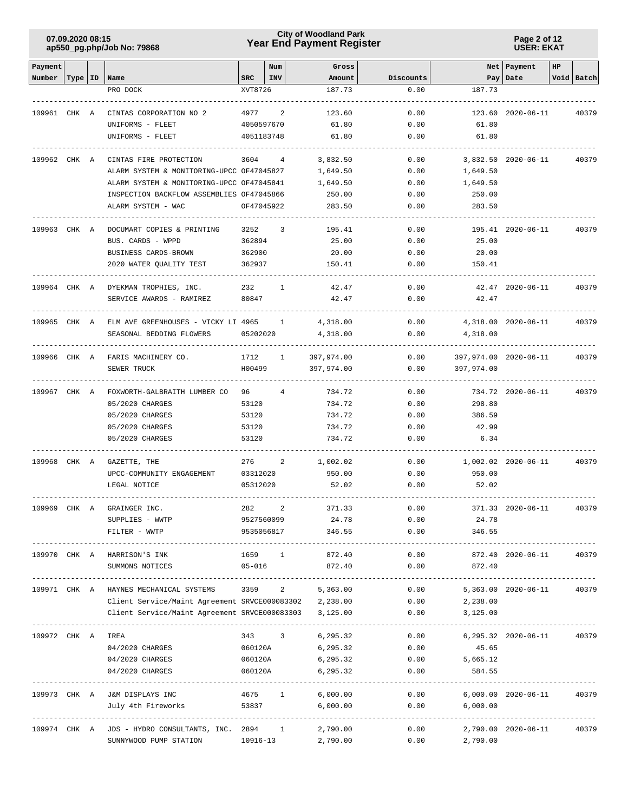# **Year End Payment Register City of Woodland Park 07.09.2020 08:15**

**Page 2 of 12 USER: EKAT**

| Payment      |           |                                                        |                      | Num             | Gross              |              |                            | Net   Payment       | HP |            |
|--------------|-----------|--------------------------------------------------------|----------------------|-----------------|--------------------|--------------|----------------------------|---------------------|----|------------|
| Number       | Type   ID | Name                                                   | SRC                  | INV             | Amount             | Discounts    |                            | Pay   Date          |    | Void Batch |
|              |           | PRO DOCK                                               | XVT8726              |                 | 187.73             | 0.00         | 187.73                     |                     |    |            |
|              |           |                                                        |                      |                 |                    |              |                            |                     |    |            |
| 109961 CHK A |           | CINTAS CORPORATION NO 2                                | 4977                 | 2               | 123.60             | 0.00         |                            | 123.60 2020-06-11   |    | 40379      |
|              |           | UNIFORMS - FLEET                                       | 4050597670           |                 | 61.80              | 0.00         | 61.80                      |                     |    |            |
|              |           | UNIFORMS - FLEET                                       | 4051183748           |                 | 61.80              | 0.00         | 61.80                      |                     |    |            |
| 109962 CHK A |           | CINTAS FIRE PROTECTION                                 | 3604 4               |                 | 3,832.50           | 0.00         |                            | 3,832.50 2020-06-11 |    | 40379      |
|              |           | ALARM SYSTEM & MONITORING-UPCC OF47045827              |                      |                 | 1,649.50           | 0.00         | 1,649.50                   |                     |    |            |
|              |           | ALARM SYSTEM & MONITORING-UPCC OF47045841              |                      |                 | 1,649.50           | 0.00         | 1,649.50                   |                     |    |            |
|              |           | INSPECTION BACKFLOW ASSEMBLIES OF47045866              |                      |                 | 250.00             | 0.00         | 250.00                     |                     |    |            |
|              |           | ALARM SYSTEM - WAC                                     | OF47045922           |                 | 283.50             | 0.00         | 283.50                     |                     |    |            |
|              |           |                                                        |                      |                 |                    |              |                            |                     |    |            |
| 109963 CHK A |           | DOCUMART COPIES & PRINTING                             | 3252                 | 3               | 195.41             | 0.00         |                            | 195.41 2020-06-11   |    | 40379      |
|              |           | BUS. CARDS - WPPD                                      | 362894               |                 | 25.00              | 0.00         | 25.00                      |                     |    |            |
|              |           | BUSINESS CARDS-BROWN                                   | 362900               |                 | 20.00              | 0.00         | 20.00                      |                     |    |            |
|              |           | 2020 WATER QUALITY TEST                                | 362937               |                 | 150.41             | 0.00         | 150.41                     |                     |    |            |
| 109964 CHK A |           | DYEKMAN TROPHIES, INC.                                 | 232                  | 1               | 42.47              | 0.00         |                            | 42.47 2020-06-11    |    | 40379      |
|              |           | SERVICE AWARDS - RAMIREZ                               | 80847                |                 | 42.47              | 0.00         | 42.47                      |                     |    |            |
|              |           |                                                        |                      |                 |                    |              |                            |                     |    |            |
| 109965 CHK A |           | ELM AVE GREENHOUSES - VICKY LI 4965                    |                      | $\frac{1}{2}$   | 4,318.00           | 0.00         |                            | 4,318.00 2020-06-11 |    | 40379      |
|              |           | SEASONAL BEDDING FLOWERS                               | 05202020             |                 | 4,318.00           | 0.00         | 4,318.00                   |                     |    |            |
|              |           | 109966 CHK A FARIS MACHINERY CO.                       | 1712                 | $\mathbf{1}$    |                    | 0.00         |                            |                     |    |            |
|              |           |                                                        | H00499               |                 | 397,974.00         |              | 397,974.00 2020-06-11      |                     |    | 40379      |
|              |           | SEWER TRUCK                                            |                      |                 | 397,974.00         | 0.00         | 397,974.00                 |                     |    |            |
| 109967 CHK A |           | FOXWORTH-GALBRAITH LUMBER CO                           | 96 —                 | $4\overline{ }$ | 734.72             | 0.00         |                            | 734.72 2020-06-11   |    | 40379      |
|              |           | 05/2020 CHARGES                                        | 53120                |                 | 734.72             | 0.00         | 298.80                     |                     |    |            |
|              |           | 05/2020 CHARGES                                        | 53120                |                 | 734.72             | 0.00         | 386.59                     |                     |    |            |
|              |           | 05/2020 CHARGES                                        | 53120                |                 | 734.72             | 0.00         | 42.99                      |                     |    |            |
|              |           | 05/2020 CHARGES                                        | 53120                |                 | 734.72             | 0.00         | 6.34                       |                     |    |            |
|              |           |                                                        |                      |                 |                    |              |                            | 1,002.02 2020-06-11 |    |            |
| 109968 CHK A |           | GAZETTE, THE<br>UPCC-COMMUNITY ENGAGEMENT              | 276 — 17<br>03312020 | 2               | 1,002.02<br>950.00 | 0.00<br>0.00 | 950.00                     |                     |    | 40379      |
|              |           | LEGAL NOTICE                                           | 05312020             |                 | 52.02              | 0.00         | 52.02                      |                     |    |            |
|              |           |                                                        |                      |                 |                    |              |                            |                     |    |            |
| 109969 CHK A |           | GRAINGER INC.                                          | 282                  | 2               | 371.33             | 0.00         |                            | 371.33 2020-06-11   |    | 40379      |
|              |           | SUPPLIES - WWTP                                        |                      |                 | 9527560099 24.78   | 0.00         | 24.78                      |                     |    |            |
|              |           | FILTER - WWTP                                          | 9535056817           |                 | 346.55             | 0.00         | 346.55                     |                     |    |            |
|              |           | ---------------                                        |                      |                 |                    |              |                            |                     |    |            |
|              |           | 109970 CHK A HARRISON'S INK                            |                      | 1659 1          | 872.40             | 0.00         |                            | 872.40 2020-06-11   |    | 40379      |
|              |           | SUMMONS NOTICES                                        | $05 - 016$           |                 | 872.40             | 0.00         | 872.40                     |                     |    |            |
|              |           | 109971 CHK A HAYNES MECHANICAL SYSTEMS                 | 3359                 | $2^{\circ}$     | 5,363.00           | 0.00         |                            | 5,363.00 2020-06-11 |    | 40379      |
|              |           | Client Service/Maint Agreement SRVCE000083302 2,238.00 |                      |                 |                    |              | $0.00$ 2,238.00            |                     |    |            |
|              |           | Client Service/Maint Agreement SRVCE000083303          |                      |                 | 3,125.00           | 0.00         | 3,125.00                   |                     |    |            |
|              |           | ----------------------------                           |                      |                 | -----------------  |              |                            |                     |    |            |
| 109972 CHK A |           | IREA                                                   |                      | 343 3           | 6,295.32           | 0.00         |                            | 6,295.32 2020-06-11 |    | 40379      |
|              |           | 04/2020 CHARGES                                        | 060120A              |                 | 6,295.32           | 0.00         | 45.65                      |                     |    |            |
|              |           | 04/2020 CHARGES                                        | 060120A              |                 | 6,295.32           | 0.00         | 5,665.12                   |                     |    |            |
|              |           | 04/2020 CHARGES                                        | 060120A              |                 | 6,295.32           | 0.00         | 584.55                     |                     |    |            |
|              |           | 109973 CHK A J&M DISPLAYS INC                          |                      | 4675 1          | 6,000.00           |              | $0.00$ 6,000.00 2020-06-11 |                     |    | 40379      |
|              |           | July 4th Fireworks                                     | 53837                |                 | 6,000.00           | 0.00         | 6,000.00                   |                     |    |            |
|              |           |                                                        |                      |                 | ---------          |              |                            |                     |    |            |
|              |           | 109974 CHK A JDS - HYDRO CONSULTANTS, INC. 2894 1      |                      |                 | 2,790.00           | 0.00         |                            | 2,790.00 2020-06-11 |    | 40379      |
|              |           | SUNNYWOOD PUMP STATION                                 | 10916-13             |                 | 2,790.00           | 0.00         | 2,790.00                   |                     |    |            |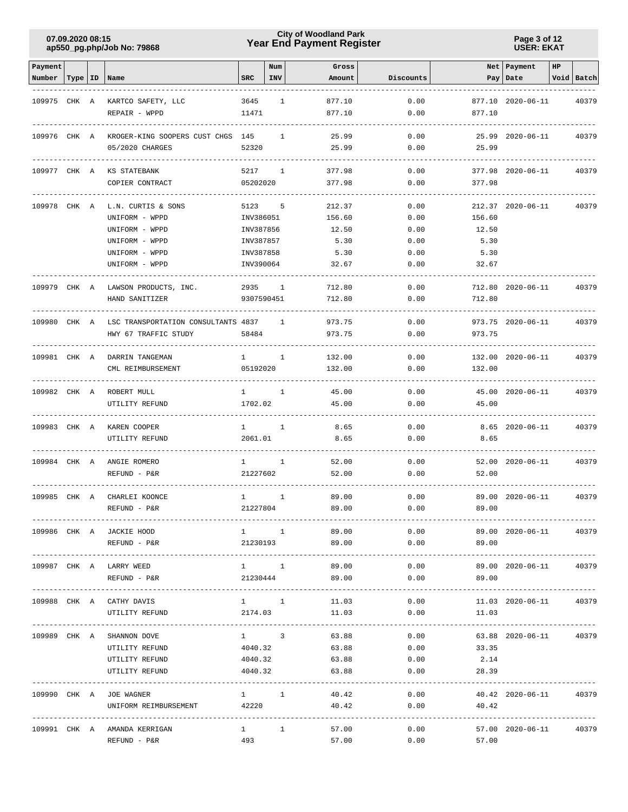# **Year End Payment Register City of Woodland Park 07.09.2020 08:15**

**Page 3 of 12 USER: EKAT**

| Payment      |           |                                     |                        | Num            | Gross                      |              |                    | Net Payment            | HP |            |
|--------------|-----------|-------------------------------------|------------------------|----------------|----------------------------|--------------|--------------------|------------------------|----|------------|
| Number       | Type   ID | Name                                | <b>SRC</b>             | INV            | Amount                     | Discounts    | Pay                | Date                   |    | Void Batch |
|              |           |                                     |                        |                |                            |              |                    |                        |    |            |
| 109975 CHK A |           | KARTCO SAFETY, LLC                  | 3645                   | 1              | 877.10                     | 0.00         |                    | 877.10 2020-06-11      |    | 40379      |
|              |           | REPAIR - WPPD                       | 11471                  |                | 877.10                     | 0.00         | 877.10             |                        |    |            |
|              |           |                                     |                        |                |                            |              |                    |                        |    |            |
| 109976 CHK A |           | KROGER-KING SOOPERS CUST CHGS 145   |                        | $\mathbf{1}$   | 25.99                      | 0.00         |                    | 25.99 2020-06-11       |    | 40379      |
|              |           | 05/2020 CHARGES                     | 52320                  |                | 25.99                      | 0.00         | 25.99              |                        |    |            |
|              |           |                                     |                        |                |                            |              |                    |                        |    |            |
| 109977 CHK A |           | KS STATEBANK                        | 5217                   | $\mathbf{1}$   | 377.98                     | 0.00         |                    | 377.98 2020-06-11      |    | 40379      |
|              |           | COPIER CONTRACT                     | 05202020               |                | 377.98                     | 0.00         | 377.98             |                        |    |            |
|              |           |                                     |                        |                |                            |              |                    |                        |    |            |
| 109978       | CHK A     | L.N. CURTIS & SONS                  | 5123                   | 5              | 212.37                     | 0.00         |                    | 212.37 2020-06-11      |    | 40379      |
|              |           | UNIFORM - WPPD                      | INV386051              |                | 156.60                     | 0.00         | 156.60             |                        |    |            |
|              |           | UNIFORM - WPPD                      | INV387856              |                | 12.50<br>5.30              | 0.00         | 12.50              |                        |    |            |
|              |           | UNIFORM - WPPD<br>UNIFORM - WPPD    | INV387857<br>INV387858 |                | 5.30                       | 0.00<br>0.00 | 5.30<br>5.30       |                        |    |            |
|              |           | UNIFORM - WPPD                      | INV390064              |                | 32.67                      | 0.00         | 32.67              |                        |    |            |
|              |           |                                     |                        |                |                            |              |                    |                        |    |            |
| 109979 CHK A |           | LAWSON PRODUCTS, INC.               | 2935                   | 1              | 712.80                     | 0.00         |                    | 712.80 2020-06-11      |    | 40379      |
|              |           | HAND SANITIZER                      | 9307590451             |                | 712.80                     | 0.00         | 712.80             |                        |    |            |
|              |           |                                     |                        |                |                            |              |                    |                        |    |            |
| 109980 CHK A |           | LSC TRANSPORTATION CONSULTANTS 4837 |                        | 1              | 973.75                     | 0.00         |                    | 973.75 2020-06-11      |    | 40379      |
|              |           | HWY 67 TRAFFIC STUDY                | 58484                  |                | 973.75                     | 0.00         | 973.75             |                        |    |            |
|              |           |                                     |                        |                |                            |              |                    |                        |    |            |
| 109981 CHK A |           | DARRIN TANGEMAN                     | $1 \quad$              | $\mathbf{1}$   | 132.00                     | 0.00         |                    | 132.00 2020-06-11      |    | 40379      |
|              |           | CML REIMBURSEMENT                   | 05192020               |                | 132.00                     | 0.00         | 132.00             |                        |    |            |
|              |           |                                     |                        |                |                            |              |                    |                        |    |            |
| 109982 CHK A |           | ROBERT MULL                         | $1 \qquad \qquad$      | <sup>1</sup>   | 45.00                      | 0.00         |                    | 45.00 2020-06-11       |    | 40379      |
|              |           | UTILITY REFUND                      | 1702.02                |                | 45.00                      | 0.00         | 45.00              |                        |    |            |
|              |           |                                     |                        |                |                            |              |                    |                        |    |            |
| 109983 CHK A |           | KAREN COOPER                        | $1 \qquad \qquad$      | $\overline{1}$ | 8.65                       | 0.00         |                    | 8.65 2020-06-11        |    | 40379      |
|              |           | UTILITY REFUND                      | 2061.01                |                | 8.65                       | 0.00         | 8.65               |                        |    |            |
|              |           |                                     |                        |                |                            |              |                    |                        |    |            |
| 109984 CHK A |           | ANGIE ROMERO                        | $\mathbf{1}$           | $\mathbf{1}$   | 52.00                      | 0.00         |                    | 52.00 2020-06-11       |    | 40379      |
|              |           | REFUND - P&R                        | 21227602               |                | 52.00                      | 0.00         | 52.00              |                        |    |            |
|              |           |                                     |                        |                |                            |              |                    |                        |    |            |
| 109985 CHK A |           | CHARLEI KOONCE                      | $1 \quad \Box$         | 1              | 89.00                      | 0.00         |                    | 89.00 2020-06-11       |    | 40379      |
|              |           | REFUND - P&R                        | 21227804               |                | 89.00                      | 0.00         | 89.00              |                        |    |            |
|              |           | 109986 CHK A JACKIE HOOD            |                        |                | 89.00<br>$1 \quad 1 \quad$ | 0.00         |                    | 89.00 2020-06-11 40379 |    |            |
|              |           | REFUND - P&R                        | 21230193               |                | 89.00                      | 0.00         | 89.00              |                        |    |            |
|              |           |                                     |                        |                |                            |              |                    |                        |    |            |
|              |           | 109987 CHK A LARRY WEED             | $1 \quad 1$            |                | 89.00                      | 0.00         |                    | 89.00 2020-06-11       |    | 40379      |
|              |           | REFUND - P&R                        | 21230444               |                | 89.00                      | 0.00         | 89.00              |                        |    |            |
|              |           |                                     |                        |                |                            |              |                    |                        |    |            |
|              |           | 109988 CHK A CATHY DAVIS            | $1 \qquad \qquad 1$    |                | 11.03                      | 0.00         | $11.03$ 2020-06-11 |                        |    | 40379      |
|              |           | UTILITY REFUND                      | 2174.03                |                | 11.03                      | 0.00         | 11.03              |                        |    |            |
|              |           |                                     |                        |                |                            |              | -------------      |                        |    |            |
|              |           | 109989 CHK A SHANNON DOVE           | $1 \qquad \qquad 3$    |                | 63.88                      | 0.00         |                    | 63.88 2020-06-11       |    | 40379      |
|              |           | UTILITY REFUND                      | 4040.32                |                | 63.88                      | 0.00         | 33.35              |                        |    |            |
|              |           | UTILITY REFUND                      | 4040.32                |                | 63.88                      | 0.00         | 2.14               |                        |    |            |
|              |           | UTILITY REFUND                      | 4040.32                |                | 63.88                      | 0.00         | 28.39              |                        |    |            |
|              |           |                                     |                        |                |                            |              |                    |                        |    |            |
|              |           | 109990 CHK A JOE WAGNER             | $1 \quad 1$            |                | 40.42                      |              | 0.00               | 40.42 2020-06-11       |    | 40379      |
|              |           | UNIFORM REIMBURSEMENT 42220         |                        |                | 40.42                      | 0.00         | 40.42              |                        |    |            |
|              |           |                                     |                        |                |                            |              |                    |                        |    |            |
|              |           | 109991 CHK A AMANDA KERRIGAN        | $1 \qquad \qquad$      | $\mathbf{1}$   | 57.00                      | 0.00         |                    | 57.00 2020-06-11       |    | 40379      |
|              |           | REFUND - P&R                        | 493                    |                | 57.00                      | 0.00         | 57.00              |                        |    |            |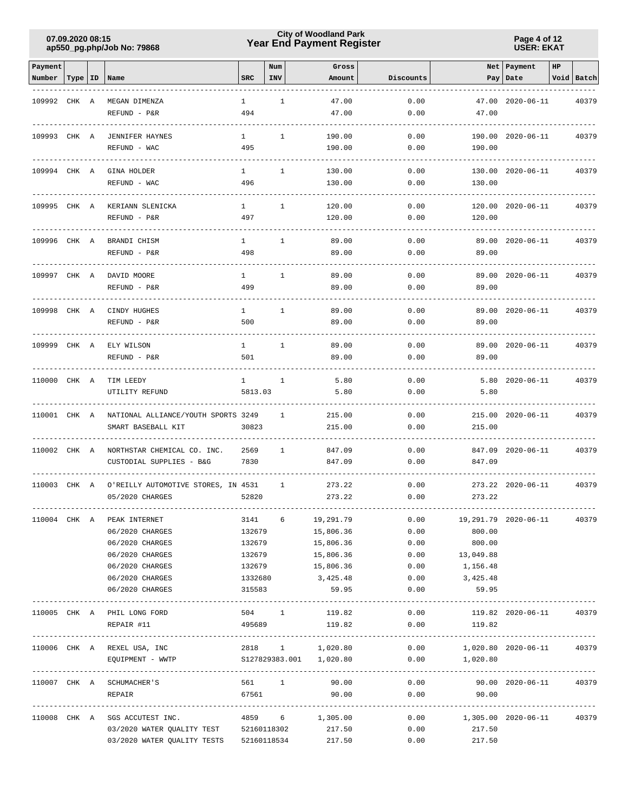# **Year End Payment Register City of Woodland Park 07.09.2020 08:15**

**Page 4 of 12 USER: EKAT**

| Payment      |           |                                        |              | Num          | Gross                   |           |                                          | Net   Payment              | $_{\rm HP}$ |            |
|--------------|-----------|----------------------------------------|--------------|--------------|-------------------------|-----------|------------------------------------------|----------------------------|-------------|------------|
| Number       | Type   ID | Name                                   | <b>SRC</b>   | INV          | Amount                  | Discounts | Pay                                      | Date                       |             | Void Batch |
|              |           |                                        |              |              |                         |           |                                          |                            |             |            |
| 109992       | CHK A     | MEGAN DIMENZA                          | $\mathbf{1}$ | $\mathbf{1}$ | 47.00                   | 0.00      |                                          | 47.00 2020-06-11           |             | 40379      |
|              |           | REFUND - P&R                           | 494          |              | 47.00                   | 0.00      | 47.00                                    |                            |             |            |
|              |           |                                        |              |              |                         |           |                                          |                            |             |            |
| 109993 CHK A |           | <b>JENNIFER HAYNES</b>                 | $\mathbf{1}$ | $\mathbf{1}$ | 190.00                  | 0.00      | 190.00                                   | 2020-06-11                 |             | 40379      |
|              |           | REFUND - WAC                           | 495          |              | 190.00                  | 0.00      | 190.00                                   |                            |             |            |
|              |           |                                        |              |              |                         |           |                                          |                            |             |            |
| 109994       | CHK A     | GINA HOLDER                            | $\mathbf{1}$ | $\mathbf{1}$ | 130.00                  | 0.00      |                                          | 130.00 2020-06-11          |             | 40379      |
|              |           | REFUND - WAC                           | 496          |              | 130.00                  | 0.00      | 130.00                                   |                            |             |            |
| 109995       | CHK A     | KERIANN SLENICKA                       | $\mathbf{1}$ | 1            | 120.00                  | 0.00      |                                          | 120.00 2020-06-11          |             | 40379      |
|              |           | REFUND - P&R                           | 497          |              | 120.00                  | 0.00      | 120.00                                   |                            |             |            |
|              |           |                                        |              |              |                         |           |                                          |                            |             |            |
| 109996       | CHK A     | BRANDI CHISM                           | $\mathbf{1}$ | 1            | 89.00                   | 0.00      |                                          | 89.00 2020-06-11           |             | 40379      |
|              |           | REFUND - P&R                           | 498          |              | 89.00                   | 0.00      | 89.00                                    |                            |             |            |
|              |           |                                        |              |              |                         |           |                                          |                            |             |            |
| 109997 CHK A |           | DAVID MOORE                            | $\mathbf{1}$ | $\mathbf{1}$ | 89.00                   | 0.00      |                                          | 89.00 2020-06-11           |             | 40379      |
|              |           | REFUND - P&R                           | 499          |              | 89.00                   | 0.00      | 89.00                                    |                            |             |            |
|              |           |                                        |              |              |                         |           |                                          |                            |             |            |
| 109998 CHK A |           | CINDY HUGHES                           | $\mathbf{1}$ | $\mathbf{1}$ | 89.00                   | 0.00      |                                          | 89.00 2020-06-11           |             | 40379      |
|              |           | REFUND - P&R                           | 500          |              | 89.00                   | 0.00      | 89.00                                    |                            |             |            |
|              |           |                                        |              |              |                         |           |                                          |                            |             |            |
| 109999 CHK A |           | ELY WILSON                             | $\mathbf{1}$ | $\mathbf{1}$ | 89.00                   | 0.00      |                                          | 89.00 2020-06-11           |             | 40379      |
|              |           | REFUND - P&R                           | 501          |              | 89.00                   | 0.00      | 89.00                                    |                            |             |            |
|              |           |                                        |              |              |                         |           |                                          |                            |             |            |
| 110000 CHK A |           | TIM LEEDY                              | $\mathbf{1}$ | $\mathbf{1}$ | 5.80                    | 0.00      |                                          | 5.80 2020-06-11            |             | 40379      |
|              |           | UTILITY REFUND                         | 5813.03      |              | 5.80                    | 0.00      | 5.80                                     |                            |             |            |
| 110001 CHK A |           | NATIONAL ALLIANCE/YOUTH SPORTS 3249    |              | 1            | 215.00                  | 0.00      |                                          | 215.00 2020-06-11          |             |            |
|              |           | SMART BASEBALL KIT                     | 30823        |              | 215.00                  | 0.00      | 215.00                                   |                            |             | 40379      |
|              |           |                                        |              |              |                         |           |                                          |                            |             |            |
| 110002       | CHK A     | NORTHSTAR CHEMICAL CO. INC.            | 2569         | 1            | 847.09                  | 0.00      |                                          | 847.09 2020-06-11          |             | 40379      |
|              |           | CUSTODIAL SUPPLIES - B&G               | 7830         |              | 847.09                  | 0.00      | 847.09                                   |                            |             |            |
|              |           |                                        |              |              |                         |           |                                          |                            |             |            |
| 110003       | CHK A     | O'REILLY AUTOMOTIVE STORES, IN 4531    |              | 1            | 273.22                  | 0.00      |                                          | 273.22 2020-06-11          |             | 40379      |
|              |           | 05/2020 CHARGES                        | 52820        |              | 273.22                  | 0.00      | 273.22                                   |                            |             |            |
|              |           |                                        |              |              |                         |           |                                          |                            |             |            |
|              |           | 110004 CHK A PEAK INTERNET             |              | $3141$ 6     | 19,291.79               | 0.00      |                                          | 19,291.79 2020-06-11 40379 |             |            |
|              |           | 06/2020 CHARGES                        | 132679       |              | 15,806.36               | 0.00      | 800.00                                   |                            |             |            |
|              |           | 06/2020 CHARGES                        | 132679       |              | 15,806.36               | 0.00      | 800.00                                   |                            |             |            |
|              |           | 06/2020 CHARGES                        | 132679       |              | 15,806.36               | 0.00      | 13,049.88                                |                            |             |            |
|              |           | 06/2020 CHARGES                        | 132679       |              | 15,806.36               | 0.00      | 1,156.48                                 |                            |             |            |
|              |           | 06/2020 CHARGES                        | 1332680      |              | 3,425.48                | 0.00      | 3,425.48                                 |                            |             |            |
|              |           | 06/2020 CHARGES                        | 315583       |              | 59.95                   | 0.00      | 59.95                                    |                            |             |            |
|              |           |                                        |              |              |                         |           |                                          |                            |             |            |
|              |           | 110005 CHK A PHIL LONG FORD            |              |              | 504 1 119.82            | 0.00      |                                          | 119.82 2020-06-11          |             | 40379      |
|              |           | REPAIR #11                             | 495689       |              | 119.82                  | 0.00      | 119.82                                   |                            |             |            |
|              |           |                                        |              |              |                         |           |                                          |                            |             |            |
|              |           | 110006 CHK A REXEL USA, INC            |              |              | 2818 1 1,020.80         |           | $0.00$ 1,020.80 2020-06-11 40379         |                            |             |            |
|              |           | EQUIPMENT - WWTP                       |              |              | S127829383.001 1,020.80 | 0.00      | 1,020.80                                 |                            |             |            |
|              |           |                                        |              |              |                         |           |                                          |                            |             |            |
|              |           | 110007 CHK A SCHUMACHER'S<br>REPAIR    |              | 67561 200    | 561 1 90.00<br>90.00    |           | $0.00$ 90.00 2020-06-11<br>0.00<br>90.00 |                            |             | 40379      |
|              |           |                                        |              |              |                         |           |                                          |                            |             |            |
|              |           | 110008 CHK A SGS ACCUTEST INC.         |              |              | 4859 6 1,305.00         |           | $0.00$ 1,305.00 2020-06-11               |                            |             | 40379      |
|              |           | 03/2020 WATER QUALITY TEST 52160118302 |              |              | 217.50                  | 0.00      | 217.50                                   |                            |             |            |
|              |           | 03/2020 WATER QUALITY TESTS            |              | 52160118534  | 217.50                  | 0.00      | 217.50                                   |                            |             |            |
|              |           |                                        |              |              |                         |           |                                          |                            |             |            |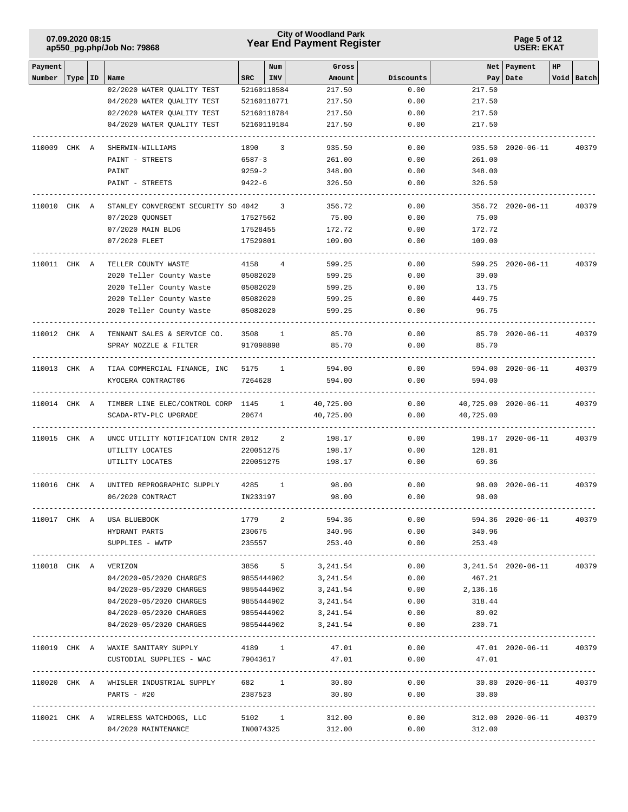# **Year End Payment Register City of Woodland Park 07.09.2020 08:15**

**Page 5 of 12 USER: EKAT**

| Payment      |           |                                                |            | Num          | Gross            |           |                                                | Net Payment          | HP |            |
|--------------|-----------|------------------------------------------------|------------|--------------|------------------|-----------|------------------------------------------------|----------------------|----|------------|
| Number       | Type   ID | Name                                           | SRC        | <b>INV</b>   | Amount           | Discounts |                                                | Pay   Date           |    | Void Batch |
|              |           | 02/2020 WATER QUALITY TEST                     |            | 52160118584  | 217.50           | 0.00      | 217.50                                         |                      |    |            |
|              |           | 04/2020 WATER QUALITY TEST                     |            | 52160118771  | 217.50           | 0.00      | 217.50                                         |                      |    |            |
|              |           | 02/2020 WATER QUALITY TEST                     |            | 52160118784  | 217.50           | 0.00      | 217.50                                         |                      |    |            |
|              |           | 04/2020 WATER QUALITY TEST                     |            | 52160119184  | 217.50           | 0.00      | 217.50                                         |                      |    |            |
|              |           | 110009 CHK A SHERWIN-WILLIAMS                  | 1890       | 3            | 935.50           | 0.00      |                                                | 935.50 2020-06-11    |    | 40379      |
|              |           | PAINT - STREETS                                | 6587-3     |              | 261.00           | 0.00      | 261.00                                         |                      |    |            |
|              |           | PAINT                                          | $9259 - 2$ |              | 348.00           | 0.00      | 348.00                                         |                      |    |            |
|              |           | PAINT - STREETS                                | 9422-6     |              | 326.50           | 0.00      | 326.50                                         |                      |    |            |
| 110010 CHK A |           | STANLEY CONVERGENT SECURITY SO 4042 3          |            |              | 356.72           | 0.00      |                                                | 356.72 2020-06-11    |    | 40379      |
|              |           | 07/2020 QUONSET                                | 17527562   |              | 75.00            | 0.00      | 75.00                                          |                      |    |            |
|              |           | 07/2020 MAIN BLDG                              | 17528455   |              | 172.72           | 0.00      | 172.72                                         |                      |    |            |
|              |           | 07/2020 FLEET                                  | 17529801   |              | 109.00           | 0.00      | 109.00                                         |                      |    |            |
| 110011 CHK A |           | TELLER COUNTY WASTE                            | 4158       | 4            | 599.25           | 0.00      |                                                | 599.25 2020-06-11    |    | 40379      |
|              |           | 2020 Teller County Waste                       | 05082020   |              | 599.25           | 0.00      | 39.00                                          |                      |    |            |
|              |           | 2020 Teller County Waste                       | 05082020   |              | 599.25           | 0.00      | 13.75                                          |                      |    |            |
|              |           | 2020 Teller County Waste                       | 05082020   |              | 599.25           | 0.00      | 449.75                                         |                      |    |            |
|              |           | 2020 Teller County Waste                       | 05082020   |              | 599.25           | 0.00      | 96.75                                          |                      |    |            |
| 110012 CHK A |           | TENNANT SALES & SERVICE CO.                    | 3508       | 1            | 85.70            | 0.00      |                                                | 85.70 2020-06-11     |    | 40379      |
|              |           | SPRAY NOZZLE & FILTER                          | 917098898  |              | 85.70            | 0.00      | 85.70                                          |                      |    |            |
|              |           | 110013 CHK A TIAA COMMERCIAL FINANCE, INC 5175 |            | $\mathbf{1}$ | 594.00           | 0.00      |                                                | 594.00 2020-06-11    |    | 40379      |
|              |           | KYOCERA CONTRACT06                             | 7264628    |              | 594.00           | 0.00      | 594.00                                         |                      |    |            |
| 110014 CHK A |           | TIMBER LINE ELEC/CONTROL CORP 1145 1           |            |              | 40,725.00        | 0.00      |                                                | 40,725.00 2020-06-11 |    | 40379      |
|              |           | SCADA-RTV-PLC UPGRADE                          | 20674      |              | 40,725.00        | 0.00      | 40,725.00                                      |                      |    |            |
| 110015 CHK A |           | UNCC UTILITY NOTIFICATION CNTR 2012            |            | 2            | 198.17           | 0.00      |                                                | 198.17 2020-06-11    |    | 40379      |
|              |           | UTILITY LOCATES                                | 220051275  |              | 198.17           | 0.00      | 128.81                                         |                      |    |            |
|              |           | UTILITY LOCATES                                | 220051275  |              | 198.17           | 0.00      | 69.36                                          |                      |    |            |
| 110016 CHK A |           | UNITED REPROGRAPHIC SUPPLY                     | 4285       | $\mathbf{1}$ | 98.00            | 0.00      |                                                | 98.00 2020-06-11     |    | 40379      |
|              |           | 06/2020 CONTRACT                               | IN233197   |              | 98.00            | 0.00      | 98.00                                          |                      |    |            |
|              |           | 110017 CHK A USA BLUEBOOK                      |            | 1779 2       | 594.36           | 0.00      |                                                | 594.36 2020-06-11    |    | 40379      |
|              |           | HYDRANT PARTS                                  |            | 230675       | 340.96           | 0.00      | 340.96                                         |                      |    |            |
|              |           | SUPPLIES - WWTP                                | 235557     |              | 253.40           | 0.00      | 253.40                                         |                      |    |            |
|              |           | 110018 CHK A VERIZON                           |            | 3856 5       | 3,241.54         | 0.00      | 3,241.54 2020-06-11                            |                      |    | 40379      |
|              |           | 04/2020-05/2020 CHARGES                        |            | 9855444902   | 3,241.54         | 0.00      | 467.21                                         |                      |    |            |
|              |           | 04/2020-05/2020 CHARGES                        |            | 9855444902   | 3,241.54         | 0.00      | 2,136.16                                       |                      |    |            |
|              |           | 04/2020-05/2020 CHARGES                        |            | 9855444902   | 3,241.54         | 0.00      | 318.44                                         |                      |    |            |
|              |           | 04/2020-05/2020 CHARGES                        |            | 9855444902   | 3,241.54         | 0.00      | 89.02                                          |                      |    |            |
|              |           | 04/2020-05/2020 CHARGES                        |            | 9855444902   | 3,241.54         | 0.00      | 230.71                                         |                      |    |            |
|              |           | 110019 CHK A WAXIE SANITARY SUPPLY             |            | 4189 1       | 47.01            | 0.00      | ---------------                                | 47.01 2020-06-11     |    | 40379      |
|              |           | CUSTODIAL SUPPLIES - WAC                       |            | 79043617     | 47.01            | 0.00      | 47.01                                          |                      |    |            |
|              |           | 110020 CHK A WHISLER INDUSTRIAL SUPPLY         | 682 1      |              | 30.80            | 0.00      |                                                | 30.80 2020-06-11     |    | 40379      |
|              |           | PARTS - #20                                    | 2387523    |              | 30.80            | 0.00      | 30.80                                          |                      |    |            |
|              |           | 110021 CHK A WIRELESS WATCHDOGS, LLC           |            |              | 5102 1 312.00    |           | --------------------------------------<br>0.00 | 312.00 2020-06-11    |    | 40379      |
|              |           | 04/2020 MAINTENANCE                            |            |              | IN0074325 312.00 |           | 0.00<br>312.00                                 |                      |    |            |
|              |           |                                                |            |              |                  |           |                                                |                      |    |            |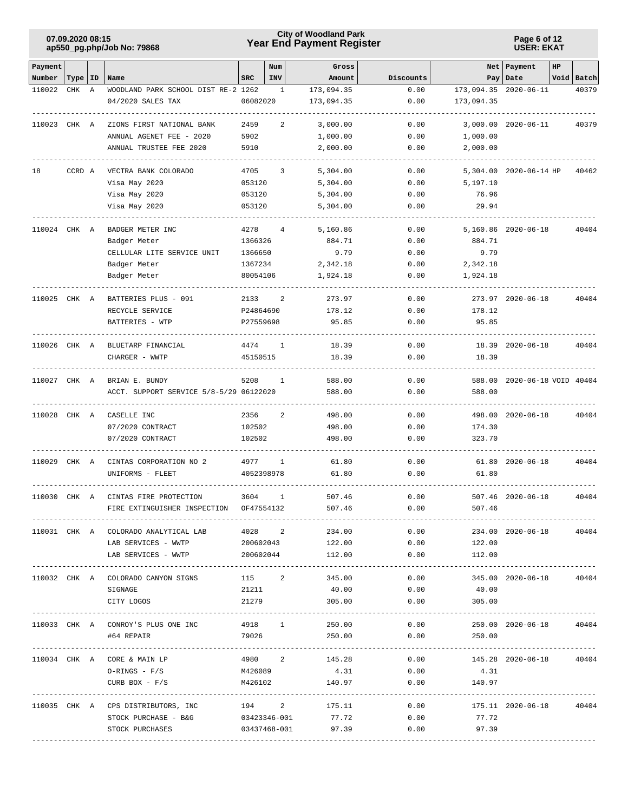# **Year End Payment Register City of Woodland Park 07.09.2020 08:15**

**Page 6 of 12 USER: EKAT**

| Payment      |           |   |                                         |            | Num        | Gross              |                            | Net        | Payment                      | HP |            |
|--------------|-----------|---|-----------------------------------------|------------|------------|--------------------|----------------------------|------------|------------------------------|----|------------|
| Number       | Type   ID |   | Name                                    | <b>SRC</b> | <b>INV</b> | Amount             | Discounts                  | Pay        | Date                         |    | Void Batch |
| 110022       | CHK       | Α | WOODLAND PARK SCHOOL DIST RE-2 1262     |            | 1          | 173,094.35         | 0.00                       |            | 173,094.35 2020-06-11        |    | 40379      |
|              |           |   | 04/2020 SALES TAX                       | 06082020   |            | 173,094.35         | 0.00                       | 173,094.35 |                              |    |            |
| 110023 CHK A |           |   | ZIONS FIRST NATIONAL BANK               | 2459       | 2          | 3,000.00           | 0.00                       |            | 3,000.00 2020-06-11          |    | 40379      |
|              |           |   | ANNUAL AGENET FEE - 2020                | 5902       |            | 1,000.00           | 0.00                       | 1,000.00   |                              |    |            |
|              |           |   | ANNUAL TRUSTEE FEE 2020                 | 5910       |            | 2,000.00           | 0.00                       | 2,000.00   |                              |    |            |
|              |           |   |                                         |            |            |                    |                            |            |                              |    |            |
| 18           | CCRD A    |   | VECTRA BANK COLORADO                    | 4705       | 3          | 5,304.00           | 0.00                       |            | 5,304.00 2020-06-14 HP       |    | 40462      |
|              |           |   | Visa May 2020                           | 053120     |            | 5,304.00           | 0.00                       | 5,197.10   |                              |    |            |
|              |           |   | Visa May 2020                           | 053120     |            | 5,304.00           | 0.00                       | 76.96      |                              |    |            |
|              |           |   | Visa May 2020                           | 053120     |            | 5,304.00           | 0.00                       | 29.94      |                              |    |            |
|              |           |   |                                         |            |            |                    |                            |            |                              |    |            |
| 110024 CHK A |           |   | BADGER METER INC                        | 4278       | 4          | 5,160.86           | 0.00                       |            | 5,160.86 2020-06-18          |    | 40404      |
|              |           |   | Badger Meter                            | 1366326    |            | 884.71             | 0.00                       | 884.71     |                              |    |            |
|              |           |   | CELLULAR LITE SERVICE UNIT              | 1366650    |            | 9.79               | 0.00                       | 9.79       |                              |    |            |
|              |           |   | Badger Meter                            | 1367234    |            | 2,342.18           | 0.00                       | 2,342.18   |                              |    |            |
|              |           |   | Badger Meter                            | 80054106   |            | 1,924.18           | 0.00                       | 1,924.18   |                              |    |            |
|              |           |   |                                         |            |            |                    |                            |            |                              |    |            |
| 110025 CHK A |           |   | BATTERIES PLUS - 091                    | 2133       | 2          | 273.97             | 0.00                       |            | 273.97 2020-06-18            |    | 40404      |
|              |           |   | RECYCLE SERVICE                         | P24864690  |            | 178.12             | 0.00                       | 178.12     |                              |    |            |
|              |           |   | BATTERIES - WTP                         | P27559698  |            | 95.85              | 0.00                       | 95.85      |                              |    |            |
| 110026 CHK A |           |   | BLUETARP FINANCIAL                      | 4474       | 1          | 18.39              | 0.00                       |            | 18.39 2020-06-18             |    | 40404      |
|              |           |   | CHARGER - WWTP                          | 45150515   |            | 18.39              | 0.00                       | 18.39      |                              |    |            |
|              |           |   |                                         |            |            |                    |                            |            |                              |    |            |
| 110027 CHK A |           |   | BRIAN E. BUNDY                          | 5208       | 1          | 588.00             | 0.00                       |            | 588.00 2020-06-18 VOID 40404 |    |            |
|              |           |   | ACCT. SUPPORT SERVICE 5/8-5/29 06122020 |            |            | 588.00             | 0.00                       | 588.00     |                              |    |            |
| 110028 CHK A |           |   | CASELLE INC                             | 2356       | 2          | 498.00             | 0.00                       |            | 498.00 2020-06-18            |    | 40404      |
|              |           |   | 07/2020 CONTRACT                        | 102502     |            | 498.00             | 0.00                       | 174.30     |                              |    |            |
|              |           |   | 07/2020 CONTRACT                        | 102502     |            | 498.00             | 0.00                       | 323.70     |                              |    |            |
| 110029 CHK A |           |   | CINTAS CORPORATION NO 2                 | 4977       | 1          | 61.80              | 0.00                       |            | 61.80 2020-06-18             |    | 40404      |
|              |           |   |                                         |            |            | 61.80              | 0.00                       | 61.80      |                              |    |            |
|              |           |   | UNIFORMS - FLEET                        | 4052398978 |            |                    |                            |            |                              |    |            |
| 110030 CHK A |           |   | CINTAS FIRE PROTECTION                  | 3604       | 1          | 507.46             | 0.00                       |            | 507.46 2020-06-18            |    | 40404      |
|              |           |   | FIRE EXTINGUISHER INSPECTION            | OF47554132 |            | 507.46             | 0.00                       | 507.46     |                              |    |            |
|              |           |   |                                         |            |            |                    |                            |            |                              |    |            |
|              |           |   | 110031 CHK A COLORADO ANALYTICAL LAB    | 4028 2     |            | 234.00             | 0.00                       |            | 234.00 2020-06-18            |    | 40404      |
|              |           |   | LAB SERVICES - WWTP                     | 200602043  |            | 122.00             | 0.00                       | 122.00     |                              |    |            |
|              |           |   | LAB SERVICES - WWTP                     | 200602044  |            | 112.00             | 0.00                       | 112.00     |                              |    |            |
|              |           |   | 110032 CHK A COLORADO CANYON SIGNS      | 115 2      |            | 345.00             | 0.00                       |            | 345.00 2020-06-18            |    | 40404      |
|              |           |   | SIGNAGE                                 | 21211      |            | 40.00              | 0.00                       | 40.00      |                              |    |            |
|              |           |   | CITY LOGOS                              | 21279      |            | 305.00             | 0.00                       | 305.00     |                              |    |            |
|              |           |   |                                         |            |            |                    |                            |            |                              |    |            |
|              |           |   | 110033 CHK A CONROY'S PLUS ONE INC      | 4918 1     |            | 250.00             | 0.00                       |            | 250.00 2020-06-18            |    | 40404      |
|              |           |   | #64 REPAIR<br>-----------------         | 79026      |            | 250.00             | 0.00<br>------------------ | 250.00     |                              |    |            |
|              |           |   | 110034 CHK A CORE & MAIN LP             | 4980 2     |            | 145.28             | 0.00                       |            | 145.28 2020-06-18            |    | 40404      |
|              |           |   | $O-RINGS - F/S$                         | M426089    |            | 4.31               | 0.00                       | 4.31       |                              |    |            |
|              |           |   | CURB BOX - $F/S$                        | M426102    |            | 140.97             | 0.00                       | 140.97     |                              |    |            |
|              |           |   |                                         |            |            |                    |                            |            |                              |    |            |
|              |           |   | 110035 CHK A CPS DISTRIBUTORS, INC      |            |            | 194 2 175.11       |                            | 0.00       | 175.11 2020-06-18            |    | 40404      |
|              |           |   | STOCK PURCHASE - B&G                    |            |            | 03423346-001 77.72 | 0.00                       | 77.72      |                              |    |            |
|              |           |   | STOCK PURCHASES                         |            |            | 03437468-001 97.39 | 0.00                       | 97.39      |                              |    |            |
|              |           |   |                                         |            |            |                    |                            |            |                              |    |            |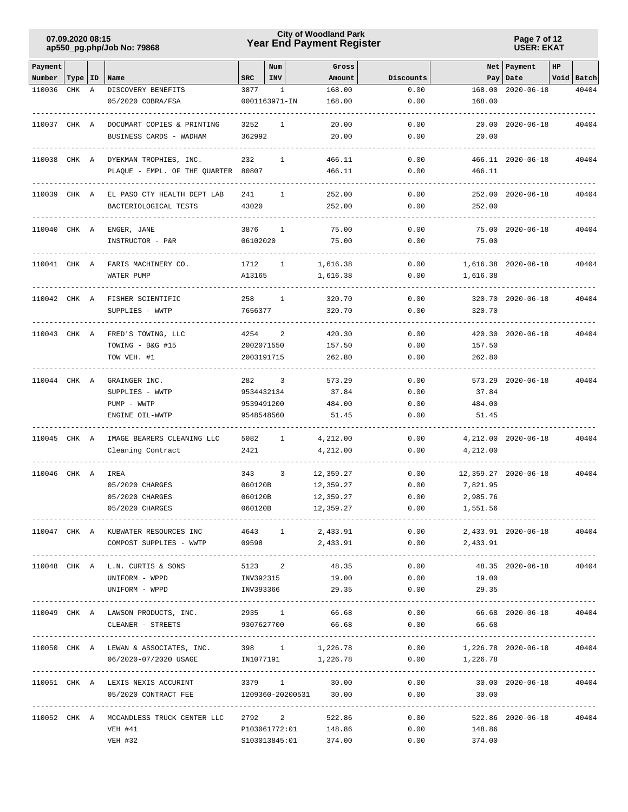# **Year End Payment Register City of Woodland Park 07.09.2020 08:15**

**Page 7 of 12 USER: EKAT**

| Payment      |           |   |                                                                                         |            | Num           | Gross                  |           |                               | Net   Payment                  | HP |            |
|--------------|-----------|---|-----------------------------------------------------------------------------------------|------------|---------------|------------------------|-----------|-------------------------------|--------------------------------|----|------------|
| Number       | Type   ID |   | Name                                                                                    | <b>SRC</b> | INV           | Amount                 | Discounts |                               | Pay   Date                     |    | Void Batch |
| 110036       | CHK       | A | DISCOVERY BENEFITS                                                                      | 3877       | 1             | 168.00                 | 0.00      | 168.00                        | $2020 - 06 - 18$               |    | 40404      |
|              |           |   | 05/2020 COBRA/FSA                                                                       |            | 0001163971-IN | 168.00                 | 0.00      | 168.00                        |                                |    |            |
| 110037 CHK A |           |   | DOCUMART COPIES & PRINTING                                                              | 3252       | 1             | 20.00                  | 0.00      |                               | 20.00 2020-06-18               |    | 40404      |
|              |           |   | BUSINESS CARDS - WADHAM                                                                 | 362992     |               | 20.00                  | 0.00      | 20.00                         |                                |    |            |
|              |           |   |                                                                                         |            |               |                        |           |                               |                                |    |            |
|              |           |   | 110038 CHK A DYEKMAN TROPHIES, INC.                                                     | 232        | 1             | 466.11                 | 0.00      |                               | 466.11 2020-06-18              |    | 40404      |
|              |           |   | PLAQUE - EMPL. OF THE QUARTER 80807                                                     |            |               | 466.11                 | 0.00      | 466.11                        |                                |    |            |
| 110039 CHK A |           |   | EL PASO CTY HEALTH DEPT LAB                                                             | 241        | $\mathbf{1}$  | 252.00                 | 0.00      |                               | 252.00 2020-06-18              |    | 40404      |
|              |           |   | BACTERIOLOGICAL TESTS                                                                   | 43020      |               | 252.00                 | 0.00      | 252.00                        |                                |    |            |
|              |           |   |                                                                                         |            |               |                        |           |                               |                                |    |            |
| 110040 CHK A |           |   | ENGER, JANE                                                                             | 3876       | 1             | 75.00                  | 0.00      |                               | 75.00 2020-06-18               |    | 40404      |
|              |           |   | INSTRUCTOR - P&R                                                                        | 06102020   |               | 75.00                  | 0.00      | 75.00                         |                                |    |            |
| 110041 CHK A |           |   | FARIS MACHINERY CO.                                                                     | 1712       | $\mathbf{1}$  | 1,616.38               | 0.00      |                               | 1,616.38 2020-06-18            |    | 40404      |
|              |           |   | WATER PUMP                                                                              | A13165     |               | 1,616.38               | 0.00      | 1,616.38                      |                                |    |            |
|              |           |   |                                                                                         |            |               |                        |           |                               |                                |    |            |
| 110042 CHK A |           |   | FISHER SCIENTIFIC                                                                       | 258        | $\mathbf{1}$  | 320.70                 | 0.00      |                               | 320.70 2020-06-18              |    | 40404      |
|              |           |   | SUPPLIES - WWTP                                                                         | 7656377    |               | 320.70                 | 0.00      | 320.70                        |                                |    |            |
|              |           |   |                                                                                         |            |               |                        |           |                               |                                |    |            |
| 110043 CHK A |           |   | FRED'S TOWING, LLC                                                                      | 4254       | 2             | 420.30                 | 0.00      |                               | 420.30 2020-06-18              |    | 40404      |
|              |           |   | TOWING - B&G #15                                                                        | 2002071550 |               | 157.50                 | 0.00      | 157.50                        |                                |    |            |
|              |           |   | TOW VEH. #1                                                                             | 2003191715 |               | 262.80                 | 0.00      | 262.80                        |                                |    |            |
| 110044 CHK A |           |   | GRAINGER INC.                                                                           | 282        | 3             | 573.29                 | 0.00      |                               | 573.29 2020-06-18              |    | 40404      |
|              |           |   | SUPPLIES - WWTP                                                                         | 9534432134 |               | 37.84                  | 0.00      | 37.84                         |                                |    |            |
|              |           |   | PUMP - WWTP                                                                             | 9539491200 |               | 484.00                 | 0.00      | 484.00                        |                                |    |            |
|              |           |   | ENGINE OIL-WWTP                                                                         | 9548548560 |               | 51.45                  | 0.00      | 51.45                         |                                |    |            |
| 110045 CHK A |           |   | IMAGE BEARERS CLEANING LLC                                                              | 5082       | $\mathbf{1}$  | 4,212.00               | 0.00      |                               | 4, 212.00 2020-06-18           |    | 40404      |
|              |           |   | Cleaning Contract                                                                       | 2421       |               | 4,212.00               | 0.00      | 4,212.00                      |                                |    |            |
|              |           |   |                                                                                         |            |               |                        |           |                               |                                |    |            |
| 110046 CHK A |           |   | IREA                                                                                    | 343        | 3             | 12,359.27              | 0.00      |                               | 12,359.27 2020-06-18           |    | 40404      |
|              |           |   | 05/2020 CHARGES                                                                         | 060120B    |               | 12,359.27              | 0.00      | 7,821.95                      |                                |    |            |
|              |           |   | 05/2020 CHARGES                                                                         | 060120B    |               | 12,359.27              | 0.00      | 2,985.76                      |                                |    |            |
|              |           |   | 05/2020 CHARGES                                                                         | 060120B    |               | 12,359.27              | 0.00      | 1,551.56                      |                                |    |            |
|              |           |   | 110047 CHK A KUBWATER RESOURCES INC                                                     |            |               | 4643 1 2,433.91        | 0.00      | 2,433.91  2020-06-18  40404   | ------------------------------ |    |            |
|              |           |   | COMPOST SUPPLIES - WWTP                                                                 | 09598      |               | 2,433.91               | 0.00      | 2,433.91                      |                                |    |            |
|              |           |   |                                                                                         |            |               |                        |           |                               |                                |    |            |
|              |           |   | 110048 CHK A L.N. CURTIS & SONS                                                         |            | 5123 2        | 48.35                  | 0.00      |                               | 48.35 2020-06-18               |    | 40404      |
|              |           |   | UNIFORM - WPPD                                                                          |            |               | INV392315 19.00        |           | $0.00$ 19.00                  |                                |    |            |
|              |           |   | UNIFORM - WPPD                                                                          |            |               | INV393366 29.35        | 0.00      | 29.35                         |                                |    |            |
|              |           |   | 110049 CHK A LAWSON PRODUCTS, INC.                                                      | 2935 1     |               | 66.68                  | 0.00      |                               | 66.68 2020-06-18               |    | 40404      |
|              |           |   | CLEANER - STREETS                                                                       | 9307627700 |               | 66.68                  | 0.00      | 66.68                         |                                |    |            |
|              |           |   |                                                                                         |            |               |                        |           |                               |                                |    |            |
|              |           |   | 110050 CHK A LEWAN & ASSOCIATES, INC. 398 1<br>06/2020-07/2020 USAGE 1N1077191 1,226.78 |            |               | 1,226.78               | 0.00      |                               | 1,226.78 2020-06-18 40404      |    |            |
|              |           |   |                                                                                         |            |               |                        | 0.00      | 1,226.78                      |                                |    |            |
|              |           |   | 110051 CHK A LEXIS NEXIS ACCURINT                                                       |            |               | 3379 1 30.00           |           | $0.00$ 30.00 2020-06-18 40404 |                                |    |            |
|              |           |   | 05/2020 CONTRACT FEE                                                                    |            |               | 1209360-20200531 30.00 |           | $0.00$ 30.00                  |                                |    |            |
|              |           |   |                                                                                         |            |               |                        |           |                               |                                |    |            |
|              |           |   | 110052 CHK A MCCANDLESS TRUCK CENTER LLC                                                |            |               | 2792 2 522.86          | 0.00      |                               | 522.86 2020-06-18              |    | 40404      |
|              |           |   | VEH #41                                                                                 |            |               | P103061772:01 148.86   | 0.00      | 148.86                        |                                |    |            |
|              |           |   | VEH #32                                                                                 |            | S103013845:01 | 374.00                 | 0.00      | 374.00                        |                                |    |            |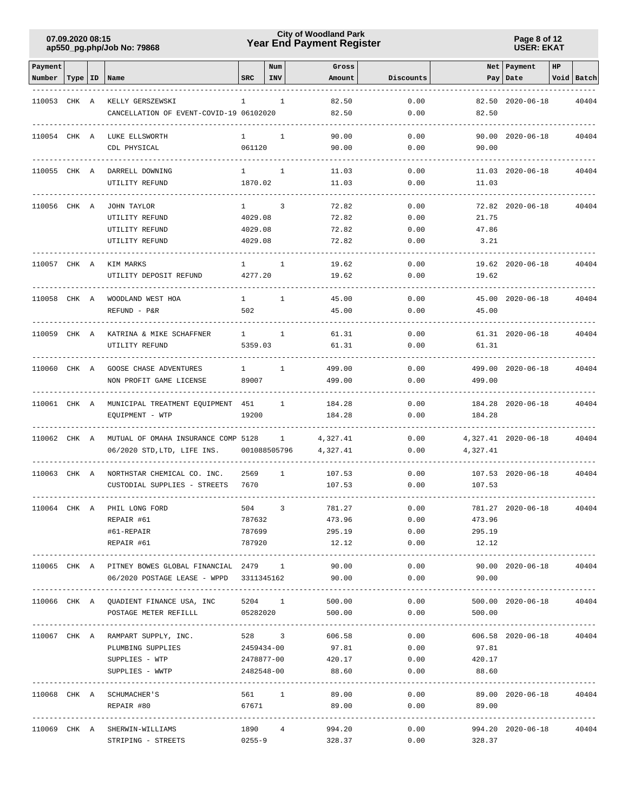# **Year End Payment Register City of Woodland Park 07.09.2020 08:15**

**Page 8 of 12 USER: EKAT**

| Payment      |           |                                                   |              | Num          | Gross              |                                   |                                            | Net Payment             | HP |            |
|--------------|-----------|---------------------------------------------------|--------------|--------------|--------------------|-----------------------------------|--------------------------------------------|-------------------------|----|------------|
| Number       | Type   ID | Name                                              | <b>SRC</b>   | INV          | Amount             | Discounts                         |                                            | Pay Date                |    | Void Batch |
|              |           |                                                   |              |              |                    |                                   |                                            |                         |    |            |
| 110053 CHK A |           | KELLY GERSZEWSKI                                  | $\mathbf{1}$ | $\mathbf{1}$ | 82.50              | 0.00                              |                                            | 82.50 2020-06-18        |    | 40404      |
|              |           | CANCELLATION OF EVENT-COVID-19 06102020           |              |              | 82.50              | 0.00                              | 82.50                                      |                         |    |            |
| 110054 CHK A |           | LUKE ELLSWORTH                                    | $\mathbf{1}$ | $\mathbf{1}$ | 90.00              | 0.00                              |                                            | 90.00 2020-06-18        |    | 40404      |
|              |           | CDL PHYSICAL                                      | 061120       |              | 90.00              | 0.00                              | 90.00                                      |                         |    |            |
|              |           |                                                   |              |              |                    |                                   |                                            |                         |    |            |
| 110055 CHK A |           | DARRELL DOWNING                                   | $\mathbf{1}$ | 1            | 11.03              | 0.00                              |                                            | 11.03 2020-06-18        |    | 40404      |
|              |           | UTILITY REFUND                                    | 1870.02      |              | 11.03              | 0.00                              | 11.03                                      |                         |    |            |
|              |           |                                                   |              |              |                    |                                   |                                            |                         |    |            |
| 110056       | CHK A     | JOHN TAYLOR                                       | $\mathbf{1}$ | 3            | 72.82              | 0.00                              |                                            | 72.82 2020-06-18        |    | 40404      |
|              |           | UTILITY REFUND                                    | 4029.08      |              | 72.82              | 0.00                              | 21.75                                      |                         |    |            |
|              |           | UTILITY REFUND                                    | 4029.08      |              | 72.82              | 0.00                              | 47.86                                      |                         |    |            |
|              |           | UTILITY REFUND                                    | 4029.08      |              | 72.82              | 0.00                              | 3.21                                       |                         |    |            |
| 110057 CHK A |           | KIM MARKS                                         | $1 -$        | 1            | 19.62              | 0.00                              |                                            | 19.62 2020-06-18        |    | 40404      |
|              |           | UTILITY DEPOSIT REFUND                            | 4277.20      |              | 19.62              | 0.00                              | 19.62                                      |                         |    |            |
|              |           |                                                   |              |              |                    |                                   |                                            |                         |    |            |
| 110058 CHK A |           | WOODLAND WEST HOA                                 | $\mathbf{1}$ | $\mathbf{1}$ | 45.00              | 0.00                              |                                            | 45.00 2020-06-18        |    | 40404      |
|              |           | REFUND - P&R                                      | 502          |              | 45.00              | 0.00                              | 45.00                                      |                         |    |            |
|              |           |                                                   |              |              |                    |                                   |                                            |                         |    |            |
| 110059 CHK A |           | KATRINA & MIKE SCHAFFNER                          | $1 -$        | $\mathbf{1}$ | 61.31              | 0.00                              |                                            | 61.31 2020-06-18        |    | 40404      |
|              |           | UTILITY REFUND                                    | 5359.03      |              | 61.31              | 0.00                              | 61.31                                      |                         |    |            |
|              |           |                                                   |              |              |                    |                                   |                                            |                         |    |            |
| 110060 CHK A |           | GOOSE CHASE ADVENTURES                            | $\mathbf{1}$ | $\mathbf{1}$ | 499.00             | 0.00                              |                                            | 499.00 2020-06-18       |    | 40404      |
|              |           | NON PROFIT GAME LICENSE                           | 89007        |              | 499.00             | 0.00                              | 499.00                                     |                         |    |            |
| 110061 CHK A |           | MUNICIPAL TREATMENT EQUIPMENT 451                 |              | $\mathbf{1}$ | 184.28             | 0.00                              |                                            | 184.28 2020-06-18       |    | 40404      |
|              |           | EQUIPMENT - WTP                                   | 19200        |              | 184.28             | 0.00                              | 184.28                                     |                         |    |            |
|              |           |                                                   |              |              |                    |                                   |                                            |                         |    |            |
| 110062 CHK A |           | MUTUAL OF OMAHA INSURANCE COMP 5128               |              | $\mathbf{1}$ | 4,327.41           | 0.00                              |                                            | 4, 327.41 2020-06-18    |    | 40404      |
|              |           | 06/2020 STD, LTD, LIFE INS.                       | 001088505796 |              | 4,327.41           | 0.00                              | 4,327.41                                   |                         |    |            |
|              |           |                                                   |              |              |                    |                                   |                                            |                         |    |            |
| 110063 CHK A |           | NORTHSTAR CHEMICAL CO. INC.                       | 2569         | $\mathbf{1}$ | 107.53             | 0.00                              |                                            | 107.53 2020-06-18       |    | 40404      |
|              |           | CUSTODIAL SUPPLIES - STREETS                      | 7670         |              | 107.53             | 0.00                              | 107.53                                     |                         |    |            |
| 110064 CHK A |           | PHIL LONG FORD                                    | 504          | 3            | 781.27             | 0.00                              |                                            | 781.27 2020-06-18       |    | 40404      |
|              |           | REPAIR #61                                        | 787632       |              | 473.96             | 0.00                              | 473.96                                     |                         |    |            |
|              |           | #61-REPAIR                                        | 787699       |              | 295.19             | 0.00                              | 295.19                                     |                         |    |            |
|              |           | REPAIR #61                                        | 787920       |              | 12.12              | 0.00                              | 12.12                                      |                         |    |            |
|              |           |                                                   |              |              |                    |                                   | --------------                             |                         |    |            |
|              |           | 110065 CHK A PITNEY BOWES GLOBAL FINANCIAL 2479 1 |              |              | 90.00              | 0.00                              |                                            | 90.00 2020-06-18        |    | 40404      |
|              |           | 06/2020 POSTAGE LEASE - WPPD 3311345162           |              |              | 90.00              | 0.00                              | 90.00                                      |                         |    |            |
|              |           | ----------------------------                      |              |              |                    |                                   |                                            |                         |    |            |
|              |           | 110066 CHK A QUADIENT FINANCE USA, INC            |              |              | 5204 1<br>500.00   | 0.00                              |                                            | 500.00 2020-06-18       |    | 40404      |
|              |           | POSTAGE METER REFILLL                             |              |              | 05282020<br>500.00 | 0.00                              | 500.00<br>-------------------------------- |                         |    |            |
|              |           | 110067 CHK A RAMPART SUPPLY, INC.                 | 528 3        |              | 606.58             | 0.00                              |                                            | 606.58 2020-06-18 40404 |    |            |
|              |           | PLUMBING SUPPLIES                                 | 2459434-00   |              | 97.81              | 0.00                              | 97.81                                      |                         |    |            |
|              |           | SUPPLIES - WTP                                    | 2478877-00   |              | 420.17             | 0.00                              | 420.17                                     |                         |    |            |
|              |           | SUPPLIES - WWTP                                   | 2482548-00   |              | 88.60              | 0.00                              | 88.60                                      |                         |    |            |
|              |           |                                                   |              |              |                    | --------------------------------- |                                            |                         |    |            |
|              |           | 110068 CHK A SCHUMACHER'S                         | 561 1        |              | 89.00              | 0.00                              |                                            | 89.00 2020-06-18        |    | 40404      |
|              |           | REPAIR #80                                        | 67671        |              | 89.00              | 0.00                              | 89.00                                      |                         |    |            |
|              |           |                                                   |              |              |                    |                                   |                                            |                         |    |            |
|              |           | 110069 CHK A SHERWIN-WILLIAMS                     | 1890         | 4            | 994.20             | 0.00                              |                                            | 994.20 2020-06-18       |    | 40404      |
|              |           | STRIPING - STREETS                                | $0255 - 9$   |              | 328.37             | 0.00                              | 328.37                                     |                         |    |            |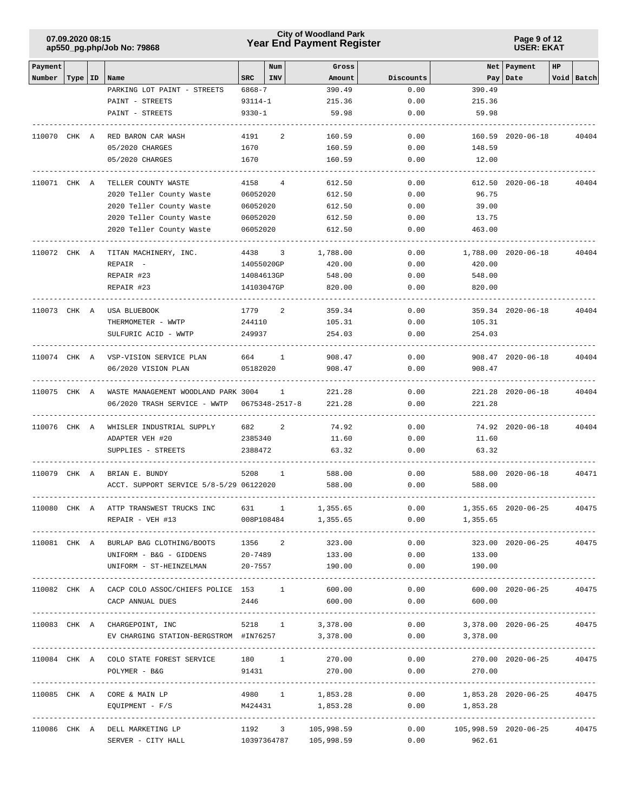# **Year End Payment Register City of Woodland Park 07.09.2020 08:15**

**Page 9 of 12 USER: EKAT**

| Payment      |           |                                                  |            | Num            | Gross      |           |                       | Net   Payment       | HP |            |
|--------------|-----------|--------------------------------------------------|------------|----------------|------------|-----------|-----------------------|---------------------|----|------------|
| Number       | Type   ID | Name                                             | SRC        | <b>INV</b>     | Amount     | Discounts |                       | Pay   Date          |    | Void Batch |
|              |           | PARKING LOT PAINT - STREETS                      | 6868-7     |                | 390.49     | 0.00      | 390.49                |                     |    |            |
|              |           | PAINT - STREETS                                  | 93114-1    |                | 215.36     | 0.00      | 215.36                |                     |    |            |
|              |           | PAINT - STREETS                                  | $9330 - 1$ |                | 59.98      | 0.00      | 59.98                 |                     |    |            |
|              |           |                                                  |            |                |            |           |                       |                     |    |            |
| 110070 CHK A |           | RED BARON CAR WASH                               | 4191       | 2              | 160.59     | 0.00      |                       | 160.59 2020-06-18   |    | 40404      |
|              |           | 05/2020 CHARGES                                  | 1670       |                | 160.59     | 0.00      | 148.59                |                     |    |            |
|              |           | 05/2020 CHARGES                                  | 1670       |                | 160.59     | 0.00      | 12.00                 |                     |    |            |
|              |           |                                                  |            |                |            |           |                       |                     |    |            |
| 110071 CHK A |           | TELLER COUNTY WASTE                              | 4158       | $\overline{4}$ | 612.50     | 0.00      |                       | 612.50 2020-06-18   |    | 40404      |
|              |           | 2020 Teller County Waste                         | 06052020   |                | 612.50     | 0.00      | 96.75                 |                     |    |            |
|              |           | 2020 Teller County Waste                         | 06052020   |                | 612.50     | 0.00      | 39.00                 |                     |    |            |
|              |           | 2020 Teller County Waste                         | 06052020   |                | 612.50     | 0.00      | 13.75                 |                     |    |            |
|              |           | 2020 Teller County Waste                         | 06052020   |                | 612.50     | 0.00      | 463.00                |                     |    |            |
|              |           |                                                  |            |                |            |           |                       |                     |    |            |
| 110072 CHK A |           | TITAN MACHINERY, INC.                            | 4438       | 3              | 1,788.00   | 0.00      |                       | 1,788.00 2020-06-18 |    | 40404      |
|              |           | REPAIR -                                         | 14055020GP |                | 420.00     | 0.00      | 420.00                |                     |    |            |
|              |           | REPAIR #23                                       | 14084613GP |                | 548.00     | 0.00      | 548.00                |                     |    |            |
|              |           | REPAIR #23                                       | 14103047GP |                | 820.00     | 0.00      | 820.00                |                     |    |            |
|              |           |                                                  |            |                |            |           |                       |                     |    |            |
| 110073 CHK A |           | USA BLUEBOOK                                     | 1779       | 2              | 359.34     | 0.00      |                       | 359.34 2020-06-18   |    | 40404      |
|              |           | THERMOMETER - WWTP                               | 244110     |                | 105.31     | 0.00      | 105.31                |                     |    |            |
|              |           | SULFURIC ACID - WWTP                             | 249937     |                | 254.03     | 0.00      | 254.03                |                     |    |            |
|              |           |                                                  |            |                |            |           |                       |                     |    |            |
| 110074 CHK A |           | VSP-VISION SERVICE PLAN                          | 664        | 1              | 908.47     | 0.00      |                       | 908.47 2020-06-18   |    | 40404      |
|              |           | 06/2020 VISION PLAN                              | 05182020   |                | 908.47     | 0.00      | 908.47                |                     |    |            |
|              |           |                                                  |            |                |            |           |                       |                     |    |            |
| 110075 CHK A |           | WASTE MANAGEMENT WOODLAND PARK 3004              |            | $\mathbf{1}$   | 221.28     | 0.00      |                       | 221.28 2020-06-18   |    | 40404      |
|              |           | 06/2020 TRASH SERVICE - WWTP                     |            | 0675348-2517-8 | 221.28     | 0.00      | 221.28                |                     |    |            |
|              |           |                                                  |            |                |            |           |                       |                     |    |            |
| 110076 CHK A |           | WHISLER INDUSTRIAL SUPPLY                        | 682        | 2              | 74.92      | 0.00      |                       | 74.92 2020-06-18    |    | 40404      |
|              |           | ADAPTER VEH #20                                  | 2385340    |                | 11.60      | 0.00      | 11.60                 |                     |    |            |
|              |           | SUPPLIES - STREETS                               | 2388472    |                | 63.32      | 0.00      | 63.32                 |                     |    |            |
|              |           |                                                  |            |                |            |           |                       |                     |    |            |
| 110079 CHK A |           | BRIAN E. BUNDY                                   | 5208       | $\mathbf{1}$   | 588.00     | 0.00      |                       | 588.00 2020-06-18   |    | 40471      |
|              |           | ACCT. SUPPORT SERVICE 5/8-5/29 06122020          |            |                | 588.00     | 0.00      | 588.00                |                     |    |            |
|              |           |                                                  |            |                |            |           |                       |                     |    |            |
| 110080 CHK A |           | ATTP TRANSWEST TRUCKS INC                        | 631        | $\mathbf{1}$   | 1,355.65   | 0.00      |                       | 1,355.65 2020-06-25 |    | 40475      |
|              |           | REPAIR - VEH #13                                 |            | 008P108484     | 1,355.65   | 0.00      | 1,355.65              |                     |    |            |
|              |           |                                                  |            |                |            |           |                       |                     |    |            |
|              |           | 110081 CHK A BURLAP BAG CLOTHING/BOOTS           | 1356 2     |                | 323.00     | 0.00      |                       | 323.00 2020-06-25   |    | 40475      |
|              |           | UNIFORM - B&G - GIDDENS 20-7489 133.00           |            |                |            | 0.00      | 133.00                |                     |    |            |
|              |           | UNIFORM - ST-HEINZELMAN                          |            | $20 - 7557$    | 190.00     | 0.00      | 190.00                |                     |    |            |
|              |           |                                                  |            |                |            |           |                       |                     |    |            |
|              |           | 110082 CHK A CACP COLO ASSOC/CHIEFS POLICE 153 1 |            |                | 600.00     | 0.00      |                       | 600.00 2020-06-25   |    | 40475      |
|              |           | CACP ANNUAL DUES                                 | 2446       |                | 600.00     | 0.00      | 600.00                |                     |    |            |
|              |           |                                                  |            |                |            |           |                       |                     |    |            |
|              |           | 110083 CHK A CHARGEPOINT, INC                    |            | 5218 1         | 3,378.00   | 0.00      |                       | 3,378.00 2020-06-25 |    | 40475      |
|              |           | EV CHARGING STATION-BERGSTROM #IN76257           |            |                | 3,378.00   | 0.00      | 3,378.00              |                     |    |            |
|              |           |                                                  |            |                |            |           |                       |                     |    |            |
|              |           | 110084 CHK A COLO STATE FOREST SERVICE 180 1     |            |                | 270.00     | 0.00      |                       | 270.00 2020-06-25   |    | 40475      |
|              |           | POLYMER - B&G                                    | 91431      |                | 270.00     | 0.00      | 270.00                |                     |    |            |
|              |           | ------------------                               |            |                |            |           |                       |                     |    |            |
|              |           | 110085 CHK A CORE & MAIN LP                      |            | 4980 1         | 1,853.28   | 0.00      |                       | 1,853.28 2020-06-25 |    | 40475      |
|              |           | $EQUIPMENT - F/S$                                | M424431    |                | 1,853.28   | 0.00      | 1,853.28              |                     |    |            |
|              |           |                                                  |            |                |            |           |                       |                     |    |            |
|              |           | 110086 CHK A DELL MARKETING LP                   | 1192 3     |                | 105,998.59 | 0.00      | 105,998.59 2020-06-25 |                     |    | 40475      |
|              |           | SERVER - CITY HALL                               |            | 10397364787    | 105,998.59 | 0.00      | 962.61                |                     |    |            |
|              |           |                                                  |            |                |            |           |                       |                     |    |            |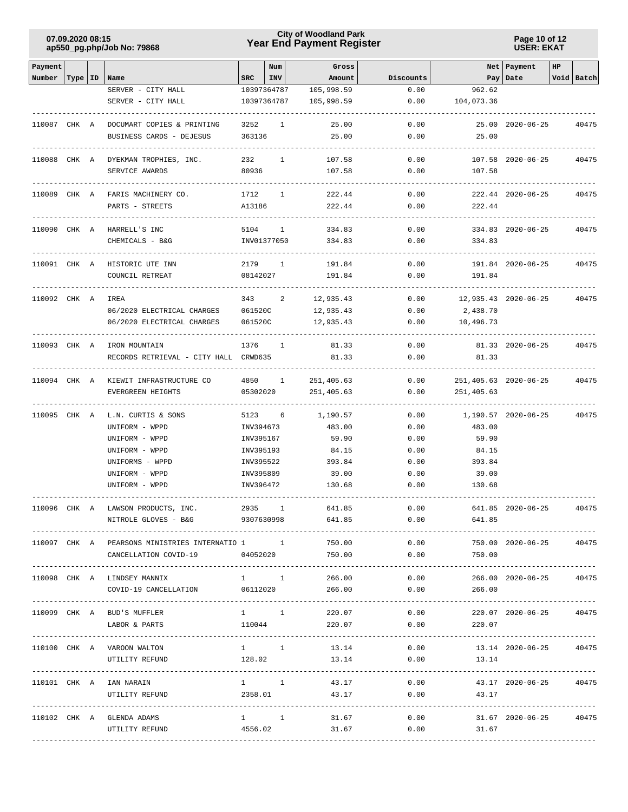# **Year End Payment Register City of Woodland Park 07.09.2020 08:15**

**Page 10 of 12 USER: EKAT**

| Payment           |           |                                                            |             | Num            | Gross      |           |                                        | Net   Payment         | HP |            |
|-------------------|-----------|------------------------------------------------------------|-------------|----------------|------------|-----------|----------------------------------------|-----------------------|----|------------|
| Number            | Type   ID | Name                                                       | <b>SRC</b>  | INV            | Amount     | Discounts |                                        | Pay Date              |    | Void Batch |
|                   |           | SERVER - CITY HALL                                         |             | 10397364787    | 105,998.59 | 0.00      | 962.62                                 |                       |    |            |
|                   |           | SERVER - CITY HALL                                         |             | 10397364787    | 105,998.59 | 0.00      | 104,073.36                             |                       |    |            |
| 110087 CHK A      |           | DOCUMART COPIES & PRINTING                                 | 3252        | $\mathbf{1}$   | 25.00      | 0.00      |                                        | 25.00 2020-06-25      |    | 40475      |
|                   |           | BUSINESS CARDS - DEJESUS                                   | 363136      |                | 25.00      | 0.00      | 25.00                                  |                       |    |            |
|                   |           |                                                            |             |                |            |           |                                        |                       |    |            |
|                   |           | 110088 CHK A DYEKMAN TROPHIES, INC.                        | 232         | $\mathbf{1}$   | 107.58     | 0.00      |                                        | 107.58 2020-06-25     |    | 40475      |
|                   |           | SERVICE AWARDS                                             | 80936       |                | 107.58     | 0.00      | 107.58                                 |                       |    |            |
|                   |           |                                                            |             |                |            |           |                                        |                       |    |            |
|                   |           | 110089 CHK A FARIS MACHINERY CO.                           | 1712        | $\mathbf{1}$   | 222.44     | 0.00      |                                        | 222.44 2020-06-25     |    | 40475      |
|                   |           | PARTS - STREETS                                            | A13186      |                | 222.44     | 0.00      | 222.44                                 |                       |    |            |
|                   |           |                                                            |             |                |            |           |                                        |                       |    |            |
| 110090 CHK A      |           | HARRELL'S INC                                              | 5104        | $\mathbf{1}$   | 334.83     | 0.00      |                                        | 334.83 2020-06-25     |    | 40475      |
|                   |           | CHEMICALS - B&G                                            |             | INV01377050    | 334.83     | 0.00      | 334.83                                 |                       |    |            |
| 110091 CHK A      |           | HISTORIC UTE INN                                           |             | 2179 1         | 191.84     | 0.00      |                                        | 191.84 2020-06-25     |    | 40475      |
|                   |           | COUNCIL RETREAT                                            | 08142027    |                | 191.84     | 0.00      | 191.84                                 |                       |    |            |
|                   |           |                                                            |             |                |            |           |                                        |                       |    |            |
| 110092 CHK A IREA |           |                                                            | 343         | 2              | 12,935.43  | 0.00      | 12,935.43 2020-06-25                   |                       |    | 40475      |
|                   |           | 06/2020 ELECTRICAL CHARGES                                 | 061520C     |                | 12,935.43  | 0.00      | 2,438.70                               |                       |    |            |
|                   |           | 06/2020 ELECTRICAL CHARGES                                 | 061520C     |                | 12,935.43  | 0.00      | 10,496.73                              |                       |    |            |
|                   |           |                                                            |             |                |            |           |                                        |                       |    |            |
|                   |           | 110093 CHK A IRON MOUNTAIN                                 | 1376        | $\overline{1}$ | 81.33      | 0.00      |                                        | 81.33 2020-06-25      |    | 40475      |
|                   |           | RECORDS RETRIEVAL - CITY HALL CRWD635                      |             |                | 81.33      | 0.00      | 81.33                                  |                       |    |            |
| 110094 CHK A      |           | KIEWIT INFRASTRUCTURE CO                                   |             | 4850 1         | 251,405.63 | 0.00      |                                        | 251,405.63 2020-06-25 |    | 40475      |
|                   |           | EVERGREEN HEIGHTS                                          | 05302020    |                | 251,405.63 | 0.00      | 251,405.63                             |                       |    |            |
|                   |           |                                                            |             |                |            |           |                                        |                       |    |            |
| 110095 CHK A      |           | L.N. CURTIS & SONS                                         | 5123        | 6              | 1,190.57   | 0.00      |                                        | 1,190.57 2020-06-25   |    | 40475      |
|                   |           | UNIFORM - WPPD                                             | INV394673   |                | 483.00     | 0.00      | 483.00                                 |                       |    |            |
|                   |           | UNIFORM - WPPD                                             | INV395167   |                | 59.90      | 0.00      | 59.90                                  |                       |    |            |
|                   |           | UNIFORM - WPPD                                             | INV395193   |                | 84.15      | 0.00      | 84.15                                  |                       |    |            |
|                   |           | UNIFORMS - WPPD                                            | INV395522   |                | 393.84     | 0.00      | 393.84                                 |                       |    |            |
|                   |           | UNIFORM - WPPD                                             | INV395809   |                | 39.00      | 0.00      | 39.00                                  |                       |    |            |
|                   |           | UNIFORM - WPPD                                             | INV396472   |                | 130.68     | 0.00      | 130.68                                 |                       |    |            |
|                   |           |                                                            | 2935        | 1              | 641.85     | 0.00      |                                        | 641.85 2020-06-25     |    | 40475      |
|                   |           | 110096 CHK A LAWSON PRODUCTS, INC.<br>NITROLE GLOVES - B&G | 9307630998  |                | 641.85     | 0.00      | 641.85                                 |                       |    |            |
|                   |           |                                                            |             |                |            |           |                                        |                       |    |            |
|                   |           | 110097 CHK A PEARSONS MINISTRIES INTERNATIO 1 1            |             |                | 750.00     | 0.00      |                                        | 750.00 2020-06-25     |    | 40475      |
|                   |           | CANCELLATION COVID-19                                      | 04052020    |                | 750.00     | 0.00      | 750.00                                 |                       |    |            |
|                   |           |                                                            |             |                |            |           |                                        |                       |    |            |
|                   |           | 110098 CHK A LINDSEY MANNIX                                |             | $1 \quad 1$    | 266.00     | 0.00      |                                        | 266.00 2020-06-25     |    | 40475      |
|                   |           | COVID-19 CANCELLATION                                      | 06112020    |                | 266.00     | 0.00      | 266.00                                 |                       |    |            |
|                   |           |                                                            |             |                |            |           |                                        |                       |    |            |
|                   |           | 110099 CHK A BUD'S MUFFLER                                 |             | $1 \quad 1$    | 220.07     | 0.00      |                                        | 220.07 2020-06-25     |    | 40475      |
|                   |           | LABOR & PARTS                                              | 110044      |                | 220.07     | 0.00      | 220.07<br>-------------                |                       |    |            |
|                   |           | 110100 CHK A VAROON WALTON                                 | $1 \quad 1$ |                | 13.14      | 0.00      |                                        | 13.14 2020-06-25      |    | 40475      |
|                   |           | UTILITY REFUND                                             | 128.02      |                | 13.14      | 0.00      | 13.14                                  |                       |    |            |
|                   |           |                                                            |             |                |            |           |                                        |                       |    |            |
|                   |           | 110101 CHK A IAN NARAIN                                    | $1 \quad 1$ |                | 43.17      | 0.00      |                                        | 43.17 2020-06-25      |    | 40475      |
|                   |           | UTILITY REFUND                                             | 2358.01     |                | 43.17      | 0.00      | 43.17                                  |                       |    |            |
|                   |           |                                                            |             |                |            |           | -------------------------------------- |                       |    |            |
|                   |           | 110102 CHK A GLENDA ADAMS                                  |             | $1 \quad 1$    | 31.67      | 0.00      |                                        | 31.67 2020-06-25      |    | 40475      |
|                   |           | UTILITY REFUND                                             | 4556.02     |                | 31.67      | 0.00      | 31.67                                  |                       |    |            |
|                   |           |                                                            |             |                |            |           |                                        |                       |    |            |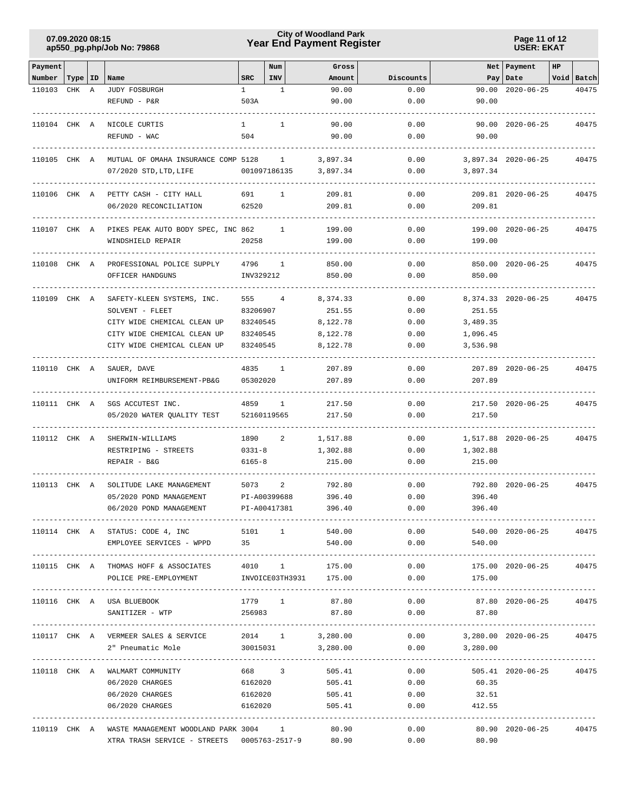# **Year End Payment Register City of Woodland Park 07.09.2020 08:15**

**Page 11 of 12 USER: EKAT**

| Payment      |           |   |                                                     |              | Num          | Gross           |                                            |                           | Net Payment             | HP |            |
|--------------|-----------|---|-----------------------------------------------------|--------------|--------------|-----------------|--------------------------------------------|---------------------------|-------------------------|----|------------|
| Number       | Type   ID |   | Name                                                | <b>SRC</b>   | INV          | Amount          | Discounts                                  |                           | Pay   Date              |    | Void Batch |
| 110103       | CHK       | A | JUDY FOSBURGH                                       | $\mathbf{1}$ | 1            | 90.00           | 0.00                                       | 90.00                     | $2020 - 06 - 25$        |    | 40475      |
|              |           |   | REFUND - P&R                                        | 503A         |              | 90.00           | 0.00                                       | 90.00                     |                         |    |            |
|              |           |   |                                                     | $\mathbf{1}$ | 1            |                 | 0.00                                       |                           |                         |    |            |
| 110104 CHK A |           |   | NICOLE CURTIS<br>REFUND - WAC                       | 504          |              | 90.00<br>90.00  | 0.00                                       | 90.00                     | 90.00 2020-06-25        |    | 40475      |
|              |           |   |                                                     |              |              |                 |                                            |                           |                         |    |            |
| 110105 CHK A |           |   | MUTUAL OF OMAHA INSURANCE COMP 5128                 |              | $\mathbf{1}$ | 3,897.34        | 0.00                                       |                           | 3,897.34 2020-06-25     |    | 40475      |
|              |           |   | 07/2020 STD, LTD, LIFE                              | 001097186135 |              | 3,897.34        | 0.00                                       | 3,897.34                  |                         |    |            |
| 110106 CHK A |           |   | PETTY CASH - CITY HALL                              | 691          | 1            | 209.81          | 0.00                                       |                           | 209.81 2020-06-25       |    | 40475      |
|              |           |   | 06/2020 RECONCILIATION                              | 62520        |              | 209.81          | 0.00                                       | 209.81                    |                         |    |            |
| 110107 CHK A |           |   | PIKES PEAK AUTO BODY SPEC, INC 862                  |              | -1           | 199.00          | 0.00                                       |                           | 199.00 2020-06-25       |    | 40475      |
|              |           |   | WINDSHIELD REPAIR                                   | 20258        |              | 199.00          | 0.00                                       | 199.00                    |                         |    |            |
| 110108 CHK A |           |   | PROFESSIONAL POLICE SUPPLY                          | 4796         | 1            | 850.00          | 0.00                                       |                           | 850.00 2020-06-25       |    | 40475      |
|              |           |   | OFFICER HANDGUNS                                    | INV329212    |              | 850.00          | 0.00                                       | 850.00                    |                         |    |            |
| 110109 CHK A |           |   | SAFETY-KLEEN SYSTEMS, INC.                          | 555          | 4            | 8,374.33        | 0.00                                       |                           | 8, 374.33 2020-06-25    |    | 40475      |
|              |           |   | SOLVENT - FLEET                                     | 83206907     |              | 251.55          | 0.00                                       | 251.55                    |                         |    |            |
|              |           |   | CITY WIDE CHEMICAL CLEAN UP                         | 83240545     |              | 8,122.78        | 0.00                                       | 3,489.35                  |                         |    |            |
|              |           |   | CITY WIDE CHEMICAL CLEAN UP                         | 83240545     |              | 8,122.78        | 0.00                                       | 1,096.45                  |                         |    |            |
|              |           |   | CITY WIDE CHEMICAL CLEAN UP                         | 83240545     |              | 8,122.78        | 0.00                                       | 3,536.98                  |                         |    |            |
| 110110 CHK A |           |   | SAUER, DAVE                                         | 4835         | 1            | 207.89          | 0.00                                       |                           | 207.89 2020-06-25       |    | 40475      |
|              |           |   | UNIFORM REIMBURSEMENT-PB&G                          | 05302020     |              | 207.89          | 0.00                                       | 207.89                    |                         |    |            |
| 110111 CHK A |           |   | SGS ACCUTEST INC.                                   | 4859         | 1            | 217.50          | 0.00                                       |                           | 217.50 2020-06-25       |    | 40475      |
|              |           |   | 05/2020 WATER QUALITY TEST                          | 52160119565  |              | 217.50          | 0.00                                       | 217.50                    |                         |    |            |
| 110112 CHK A |           |   | SHERWIN-WILLIAMS                                    | 1890         | 2            | 1,517.88        | 0.00                                       |                           | 1,517.88 2020-06-25     |    | 40475      |
|              |           |   | RESTRIPING - STREETS                                | $0331 - 8$   |              | 1,302.88        | 0.00                                       | 1,302.88                  |                         |    |            |
|              |           |   | REPAIR - B&G                                        | 6165-8       |              | 215.00          | 0.00                                       | 215.00                    |                         |    |            |
| 110113 CHK A |           |   | SOLITUDE LAKE MANAGEMENT                            | 5073         | 2            | 792.80          | 0.00                                       |                           | 792.80 2020-06-25       |    | 40475      |
|              |           |   | 05/2020 POND MANAGEMENT                             | PI-A00399688 |              | 396.40          | 0.00                                       | 396.40                    |                         |    |            |
|              |           |   | 06/2020 POND MANAGEMENT                             | PI-A00417381 |              | 396.40          | 0.00                                       | 396.40                    |                         |    |            |
|              |           |   | 110114 CHK A STATUS: CODE 4, INC 5101 1 540.00      |              |              |                 |                                            | 0.00                      | 540.00 2020-06-25 40475 |    |            |
|              |           |   | EMPLOYEE SERVICES - WPPD 35                         |              |              | 540.00          | 0.00                                       | 540.00                    |                         |    |            |
|              |           |   | 110115 CHK A THOMAS HOFF & ASSOCIATES 4010 1 175.00 |              |              |                 | 0.00                                       |                           | 175.00 2020-06-25 40475 |    |            |
|              |           |   | POLICE PRE-EMPLOYMENT MVOICE03TH3931 175.00         |              |              |                 | 0.00                                       | 175.00                    |                         |    |            |
|              |           |   | 110116 CHK A USA BLUEBOOK                           |              |              |                 | $1779$ 1 87.80 0.00 87.80 2020-06-25 40475 |                           |                         |    |            |
|              |           |   | SANITIZER - WTP                                     |              |              | 256983 87.80    |                                            | $0.00$ 87.80              |                         |    |            |
|              |           |   | 110117 CHK A VERMEER SALES & SERVICE                |              |              | 2014 1 3,280.00 | 0.00                                       | 3,280.00 2020-06-25 40475 |                         |    |            |
|              |           |   | 2" Pneumatic Mole 30015031 3,280.00                 |              |              |                 | 0.00                                       | 3,280.00                  |                         |    |            |
|              |           |   | 110118 CHK A WALMART COMMUNITY                      | 668 3        |              | 505.41          | -------------------<br>0.00                |                           | 505.41 2020-06-25 40475 |    |            |
|              |           |   | 06/2020 CHARGES                                     | 6162020      |              | 505.41          | 0.00                                       | 60.35                     |                         |    |            |
|              |           |   | 06/2020 CHARGES                                     |              |              | 6162020 505.41  |                                            | $0.00$ 32.51              |                         |    |            |
|              |           |   | 06/2020 CHARGES                                     |              |              | 6162020 505.41  | 0.00                                       | 412.55                    |                         |    |            |
|              |           |   | 110119 CHK A WASTE MANAGEMENT WOODLAND PARK 3004 1  |              |              | 80.90           | 0.00                                       |                           | 80.90 2020-06-25        |    | 40475      |
|              |           |   |                                                     |              |              |                 | 0.00                                       | 80.90                     |                         |    |            |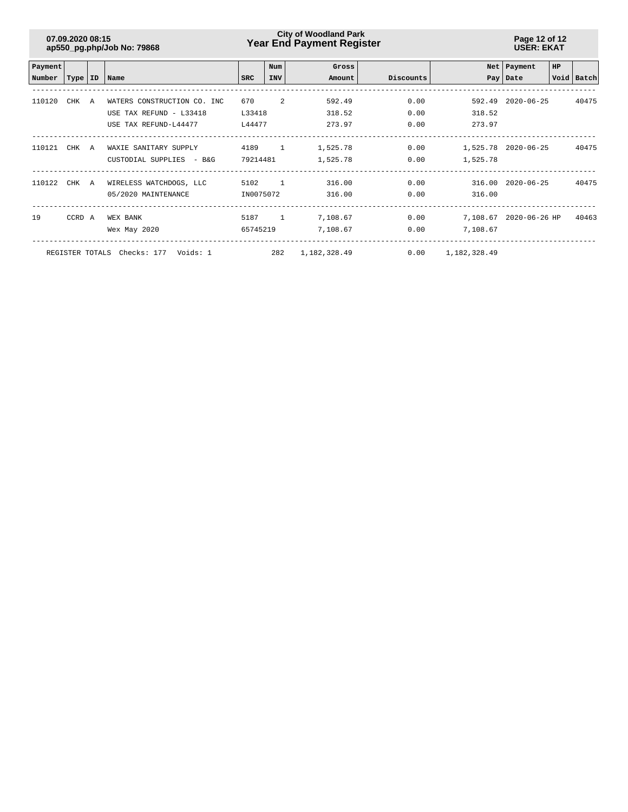# **Year End Payment Register City of Woodland Park 07.09.2020 08:15**

**Page 12 of 12 USER: EKAT**

| Payment                                                                             |        |   |                             |           | Num        | Gross    |           |          | Net   Payment          | <b>HP</b> |            |
|-------------------------------------------------------------------------------------|--------|---|-----------------------------|-----------|------------|----------|-----------|----------|------------------------|-----------|------------|
| Number                                                                              |        |   | Type   ID   Name            | SRC       | <b>INV</b> | Amount   | Discounts |          | Pay Date               |           | Void Batch |
|                                                                                     |        |   |                             |           |            |          |           |          |                        |           |            |
| 110120                                                                              | CHK    | A | WATERS CONSTRUCTION CO. INC | 670       | 2          | 592.49   | 0.00      | 592.49   | $2020 - 06 - 25$       |           | 40475      |
|                                                                                     |        |   | USE TAX REFUND - L33418     | L33418    |            | 318.52   | 0.00      | 318.52   |                        |           |            |
|                                                                                     |        |   | USE TAX REFUND-L44477       | L44477    |            | 273.97   | 0.00      | 273.97   |                        |           |            |
| 110121                                                                              |        |   |                             |           |            |          |           |          |                        |           | 40475      |
|                                                                                     | CHK A  |   | WAXIE SANITARY SUPPLY       | 4189 1    |            | 1,525.78 | 0.00      |          | 1,525.78 2020-06-25    |           |            |
|                                                                                     |        |   | CUSTODIAL SUPPLIES - B&G    | 79214481  |            | 1,525.78 | 0.00      | 1,525.78 |                        |           |            |
| 110122                                                                              | CHK A  |   | WIRELESS WATCHDOGS, LLC     | 5102      | $\sim$ 1   | 316.00   | 0.00      |          | 316.00 2020-06-25      |           | 40475      |
|                                                                                     |        |   | 05/2020 MAINTENANCE         | IN0075072 |            | 316.00   | 0.00      | 316.00   |                        |           |            |
|                                                                                     |        |   |                             |           |            |          |           |          |                        |           |            |
| 19                                                                                  | CCRD A |   | WEX BANK                    | 5187 1    |            | 7,108.67 | 0.00      |          | 7,108.67 2020-06-26 HP |           | 40463      |
|                                                                                     |        |   | Wex May 2020                | 65745219  |            | 7,108.67 | 0.00      | 7,108.67 |                        |           |            |
| 282<br>REGISTER TOTALS Checks: 177 Voids: 1<br>0.00<br>1,182,328.49<br>1,182,328.49 |        |   |                             |           |            |          |           |          |                        |           |            |